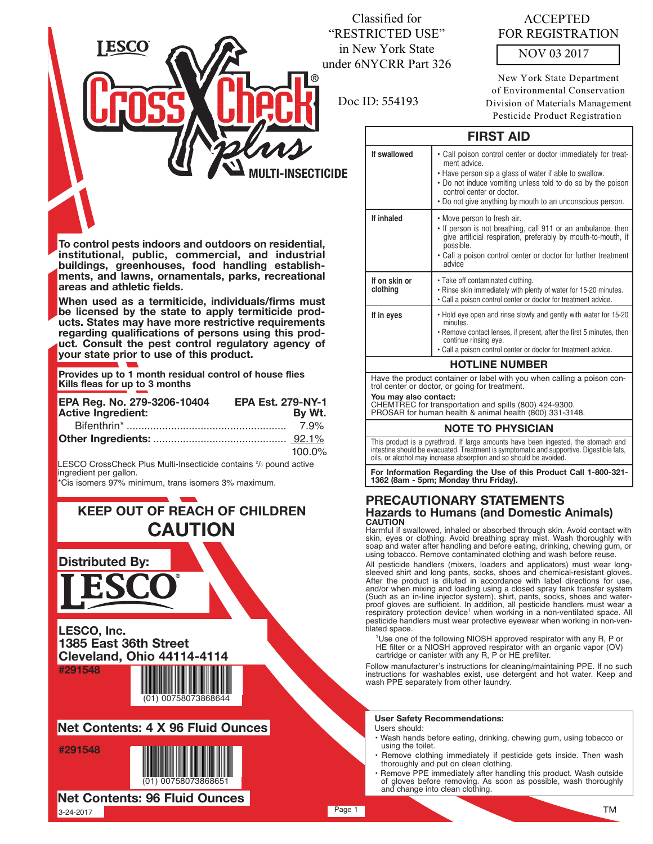## Classified for "RESTRICTED USE" in New York State under 6NYCRR Part 326

Doc ID: 554193

ACCEPTED FOR REGISTRATION

NOV 03 2017

New York State Department of Environmental Conservation Division of Materials Management Pesticide Product Registration

## **FIRST AID**

| If swallowed                                                            | • Call poison control center or doctor immediately for treat-<br>ment advice.<br>• Have person sip a glass of water if able to swallow.<br>• Do not induce vomiting unless told to do so by the poison<br>control center or doctor.<br>• Do not give anything by mouth to an unconscious person. |  |  |  |
|-------------------------------------------------------------------------|--------------------------------------------------------------------------------------------------------------------------------------------------------------------------------------------------------------------------------------------------------------------------------------------------|--|--|--|
| If inhaled                                                              | • Move person to fresh air.<br>. If person is not breathing, call 911 or an ambulance, then<br>give artificial respiration, preferably by mouth-to-mouth, if<br>possible.<br>• Call a poison control center or doctor for further treatment<br>advice                                            |  |  |  |
| If on skin or<br>clothing                                               | • Take off contaminated clothing.<br>. Rinse skin immediately with plenty of water for 15-20 minutes.<br>• Call a poison control center or doctor for treatment advice.                                                                                                                          |  |  |  |
| If in eyes                                                              | • Hold eye open and rinse slowly and gently with water for 15-20<br>minutes.<br>• Remove contact lenses, if present, after the first 5 minutes, then<br>continue rinsing eye.<br>• Call a poison control center or doctor for treatment advice.                                                  |  |  |  |
| <b>HOTLINE NUMBER</b>                                                   |                                                                                                                                                                                                                                                                                                  |  |  |  |
| Have the product container or label with you when calling a poison con- |                                                                                                                                                                                                                                                                                                  |  |  |  |

Have the product container or label with you when calling a poison con-trol center or doctor, or going for treatment.

#### **You may also contact:**

CHEMTREC for transportation and spills (800) 424-9300.

PROSAR for human health & animal health (800) 331-3148.

#### **NOTE TO PHYSICIAN**

This product is a pyrethroid. If large amounts have been ingested, the stomach and intestine should be evacuated. Treatment is symptomatic and supportive. Digestible fats, oils, or alcohol may increase absorption and so should be avoided.

**For Information Regarding the Use of this Product Call 1-800-321- 1362 (8am - 5pm; Monday thru Friday).**

#### **PRECAUTIONARY STATEMENTS Hazards to Humans (and Domestic Animals) CAUTION**

Harmful if swallowed, inhaled or absorbed through skin. Avoid contact with<br>skin, eyes or clothing. Avoid breathing spray mist. Wash thoroughly with<br>soap and water after handling and before eating, drinking, chewing gum, or

All pesticide handlers (mixers, loaders and applicators) must wear longsleeved shirt and long pants, socks, shoes and chemical-resistant gloves. After the product is diluted in accordance with label directions for use,<br>and/or when mixing and loading using a closed spray tank transfer system<br>(Such as an in-line injector system), shirt, pants, socks, shoes and waterrespiratory protection device<sup>1</sup> when working in a non-ventilated space. All pesticide handlers must wear protective eyewear when working in non-ventilated space.

1 Use one of the following NIOSH approved respirator with any R, P or HE filter or a NIOSH approved respirator with an organic vapor (OV) cartridge or canister with any R, P or HE prefilter.

Follow manufacturer's instructions for cleaning/maintaining PPE. If no such instructions for washables exist, use detergent and hot water. Keep and wash PPE separately from other laundry.

#### **User Safety Recommendations:**

Users should:

- Wash hands before eating, drinking, chewing gum, using tobacco or using the toilet.
- Remove clothing immediately if pesticide gets inside. Then wash thoroughly and put on clean clothing.
- Remove PPE immediately after handling this product. Wash outside of gloves before removing. As soon as possible, wash thoroughly and change into clean clothing.

**M-INSECTICIDE** 

**To control pests indoors and outdoors on residential, institutional, public, commercial, and industrial buildings, greenhouses, food handling establishments, and lawns, ornamentals, parks, recreational areas and athletic fields.**

**ESCO** 

**When used as a termiticide, individuals/firms must be licensed by the state to apply termiticide products. States may have more restrictive requirements regarding qualifications of persons using this product. Consult the pest control regulatory agency of your state prior to use of this product.**

**Provides up to 1 month residual control of house flies Kills fleas for up to 3 months**

| EPA Reg. No. 279-3206-10404 | <b>EPA Est. 279-NY-1</b> |
|-----------------------------|--------------------------|
| <b>Active Ingredient:</b>   | By Wt.                   |
|                             |                          |
|                             |                          |
|                             | 100.0%                   |

LESCO CrossCheck Plus Multi-Insecticide contains <sup>2</sup>/<sub>3</sub> pound active ingredient per gallon.

\*Cis isomers 97% minimum, trans isomers 3% maximum.

# **KEEP OUT OF REACH OF CHILDREN CAUTION**



**LESCO, Inc. 1385 East 36th Street Cleveland, Ohio 44114-4114 #291548**









3-24-2017 **Net Contents: 96 Fluid Ounces**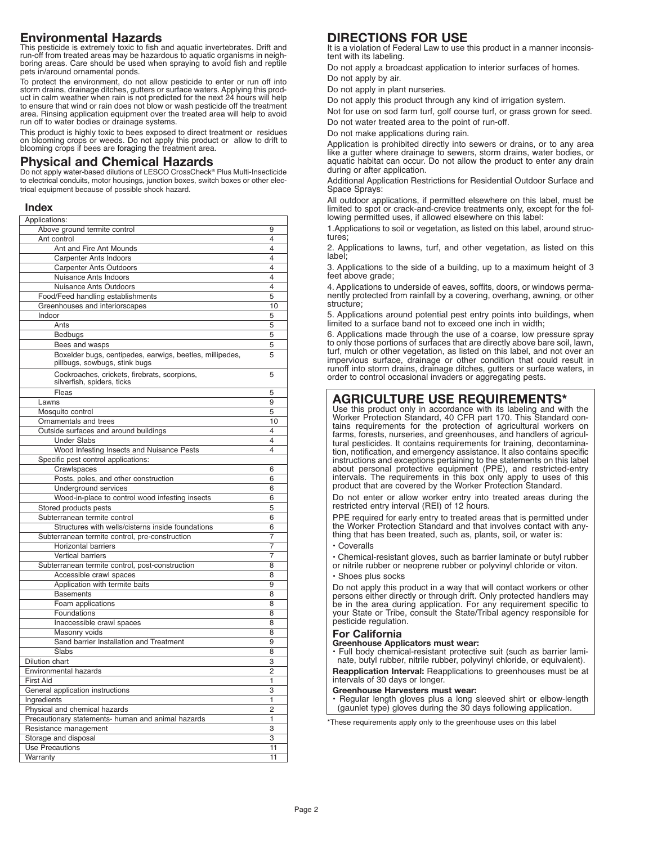## **Environmental Hazards**

This pesticide is extremely toxic to fish and aquatic invertebrates. Drift and run-off from treated areas may be hazardous to aquatic organisms in neighboring areas. Care should be used when spraying to avoid fish and reptile pets in/around ornamental ponds.

To protect the environment, do not allow pesticide to enter or run off into<br>storm drains, drainage ditches, gutters or surface waters. Applying this prod-<br>uct in calm weather when rain is not predicted for the next 24 hour area. Rinsing application equipment over the treated area will help to avoid run off to water bodies or drainage systems.

This product is highly toxic to bees exposed to direct treatment or residues on blooming crops or weeds. Do not apply this product or allow to drift to blooming crops if bees are foraging the treatment area.

## **Physical and Chemical Hazards**

Do not apply water-based dilutions of LESCO CrossCheck® Plus Multi-Insecticide to electrical conduits, motor housings, junction boxes, switch boxes or other electrical equipment because of possible shock hazard.

#### **Index**

| Applications:                                                              |                |
|----------------------------------------------------------------------------|----------------|
| Above ground termite control                                               | 9              |
| Ant control                                                                | 4              |
| Ant and Fire Ant Mounds                                                    | 4              |
| Carpenter Ants Indoors                                                     | 4              |
| <b>Carpenter Ants Outdoors</b>                                             | 4              |
| Nuisance Ants Indoors                                                      | 4              |
| Nuisance Ants Outdoors                                                     | 4              |
| Food/Feed handling establishments                                          | 5              |
| Greenhouses and interiorscapes                                             | 10             |
| Indoor                                                                     | 5              |
| Ants                                                                       | 5              |
| Bedbugs                                                                    | 5              |
| Bees and wasps                                                             | 5              |
| Boxelder bugs, centipedes, earwigs, beetles, millipedes,                   | 5              |
| pillbugs, sowbugs, stink bugs                                              |                |
| Cockroaches, crickets, firebrats, scorpions,<br>silverfish, spiders, ticks | 5              |
| Fleas                                                                      | 5              |
| Lawns                                                                      | 9              |
| Mosquito control                                                           | 5              |
| Ornamentals and trees                                                      | 10             |
| Outside surfaces and around buildings                                      | 4              |
| <b>Under Slabs</b>                                                         | 4              |
| Wood Infesting Insects and Nuisance Pests                                  | 4              |
| Specific pest control applications:                                        |                |
| Crawlspaces                                                                | 6              |
|                                                                            |                |
| Posts, poles, and other construction                                       | 6              |
| Underground services                                                       | 6              |
| Wood-in-place to control wood infesting insects                            | 6              |
| Stored products pests                                                      | 5              |
| Subterranean termite control                                               | 6              |
| Structures with wells/cisterns inside foundations                          | 6              |
| Subterranean termite control, pre-construction                             | 7              |
| <b>Horizontal barriers</b>                                                 | 7              |
| <b>Vertical barriers</b>                                                   | 7              |
| Subterranean termite control, post-construction                            | 8              |
| Accessible crawl spaces                                                    | 8              |
| Application with termite baits                                             | 9              |
| <b>Basements</b>                                                           | 8              |
| Foam applications                                                          | 8              |
| Foundations                                                                | 8              |
| Inaccessible crawl spaces                                                  | 8              |
| Masonry voids                                                              | 8              |
| Sand barrier Installation and Treatment                                    | 9              |
| Slabs                                                                      | $\overline{8}$ |
| Dilution chart                                                             | $\overline{3}$ |
| <b>Environmental hazards</b>                                               | $\overline{2}$ |
| <b>First Aid</b>                                                           | 1              |
| General application instructions                                           | 3              |
| Ingredients                                                                | 1              |
| Physical and chemical hazards                                              | 2              |
| Precautionary statements- human and animal hazards                         | 1              |
| Resistance management                                                      | 3              |
| Storage and disposal                                                       | 3              |
| <b>Use Precautions</b>                                                     | 11             |
| Warranty                                                                   | 11             |
|                                                                            |                |

## **DIRECTIONS FOR USE**

It is a violation of Federal Law to use this product in a manner inconsistent with its labeling.

Do not apply a broadcast application to interior surfaces of homes. Do not apply by air.

Do not apply in plant nurseries.

Do not apply this product through any kind of irrigation system.

Not for use on sod farm turf, golf course turf, or grass grown for seed. Do not water treated area to the point of run-off.

Do not make applications during rain.

Application is prohibited directly into sewers or drains, or to any area like a gutter where drainage to sewers, storm drains, water bodies, or aquatic habitat can occur. Do not allow the product to enter any drain during or after application.

Additional Application Restrictions for Residential Outdoor Surface and Space Sprays:

All outdoor applications, if permitted elsewhere on this label, must be limited to spot or crack-and-crevice treatments only, except for the following permitted uses, if allowed elsewhere on this label:

1.Applications to soil or vegetation, as listed on this label, around structures;

2. Applications to lawns, turf, and other vegetation, as listed on this label;

3. Applications to the side of a building, up to a maximum height of 3 feet above grade;

4. Applications to underside of eaves, soffits, doors, or windows permanently protected from rainfall by a covering, overhang, awning, or other structure;

5. Applications around potential pest entry points into buildings, when limited to a surface band not to exceed one inch in width;

6. Applications made through the use of a coarse, low pressure spray to only those portions of surfaces that are directly above bare soil, lawn, turf, mulch or other vegetation, as listed on this label, and not over an impervious surface, drainage or other condition that could result in runoff into storm drains, drainage ditches, gutters or surface waters, in order to control occasional invaders or aggregating pests.

## **AGRICULTURE USE REQUIREMENTS\***

Use this product only in accordance with its labeling and with the Worker Protection Standard, 40 CFR part 170. This Standard contains requirements for the protection of agricultural workers on farms, forests, nurseries, and greenhouses, and handlers of agricultural pesticides. It contains requirements for training, decontamination, notification, and emergency assistance. It also contains specific instructions and exceptions pertaining to the statements on this label about personal protective equipment (PPE), and restricted-entry intervals. The requirements in this box only apply to uses of this product that are covered by the Worker Protection Standard.

Do not enter or allow worker entry into treated areas during the restricted entry interval (REI) of 12 hours.

PPE required for early entry to treated areas that is permitted under the Worker Protection Standard and that involves contact with anything that has been treated, such as, plants, soil, or water is:

• Coveralls

• Chemical-resistant gloves, such as barrier laminate or butyl rubber

- or nitrile rubber or neoprene rubber or polyvinyl chloride or viton.
- Shoes plus socks

Do not apply this product in a way that will contact workers or other persons either directly or through drift. Only protected handlers may be in the area during application. For any requirement specific to your State or Tribe, consult the State/Tribal agency responsible for pesticide regulation.

#### **For California**

#### **Greenhouse Applicators must wear:**

• Full body chemical-resistant protective suit (such as barrier laminate, butyl rubber, nitrile rubber, polyvinyl chloride, or equivalent). **Reapplication Interval:** Reapplications to greenhouses must be at intervals of 30 days or longer.

**Greenhouse Harvesters must wear:**

• Regular length gloves plus a long sleeved shirt or elbow-length (gaunlet type) gloves during the 30 days following application.

\*These requirements apply only to the greenhouse uses on this label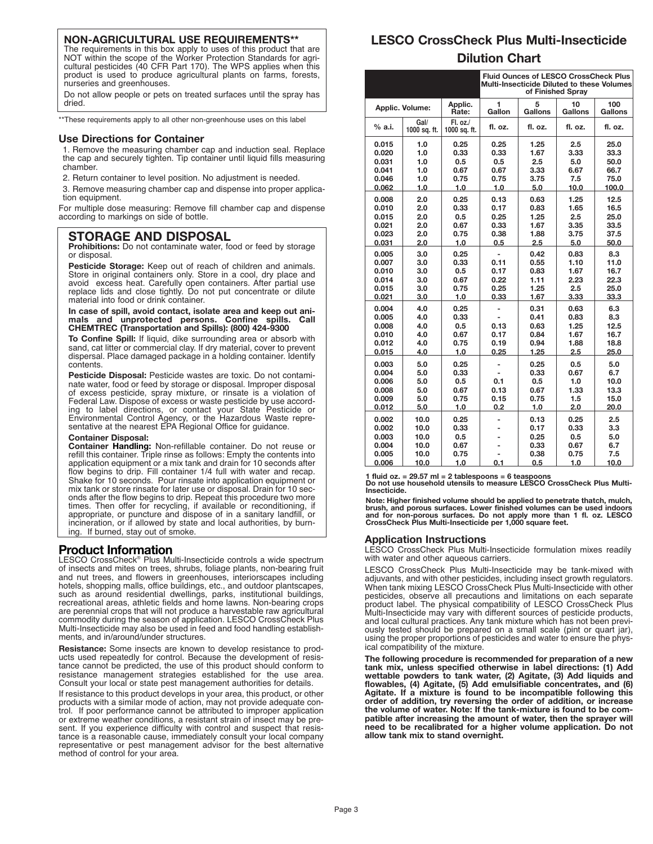## **NON-AGRICULTURAL USE REQUIREMENTS\*\***

The requirements in this box apply to uses of this product that are NOT within the scope of the Worker Protection Standards for agricultural pesticides (40 CFR Part 170). The WPS applies when this product is used to produce agricultural plants on farms, forests, nurseries and greenhouses.

Do not allow people or pets on treated surfaces until the spray has dried.

\*\* These requirements apply to all other non-greenhouse uses on this label

#### **Use Directions for Container**

1. Remove the measuring chamber cap and induction seal. Replace the cap and securely tighten. Tip container until liquid fills measuring chamber.

2. Return container to level position. No adjustment is needed.

3. Remove measuring chamber cap and dispense into proper application equipment.

For multiple dose measuring: Remove fill chamber cap and dispense according to markings on side of bottle.

## **STORAGE AND DISPOSAL**

**Prohibitions:** Do not contaminate water, food or feed by storage or disposal.

**Pesticide Storage:** Keep out of reach of children and animals. Store in original containers only. Store in a cool, dry place and avoid excess heat. Carefully open containers. After partial use replace lids and close tightly. Do not put concentrate or dilute material into food or drink container.

**In case of spill, avoid contact, isolate area and keep out animals and unprotected persons. Confine spills. Call CHEMTREC (Transportation and Spills): (800) 424-9300**

**To Confine Spill:** If liquid, dike surrounding area or absorb with sand, cat litter or commercial clay. If dry material, cover to prevent dispersal. Place damaged package in a holding container. Identify contents.

**Pesticide Disposal:** Pesticide wastes are toxic. Do not contaminate water, food or feed by storage or disposal. Improper disposal of excess pesticide, spray mixture, or rinsate is a violation of Federal Law. Dispose of excess or waste pesticide by use according to label directions, or contact your State Pesticide or Environmental Control Agency, or the Hazardous Waste representative at the nearest EPA Regional Office for guidance.

#### **Container Disposal:**

**Container Handling:** Non-refillable container. Do not reuse or refill this container. Triple rinse as follows: Empty the contents into application equipment or a mix tank and drain for 10 seconds after flow begins to drip. Fill container 1/4 full with water and recap. Shake for 10 seconds. Pour rinsate into application equipment or mix tank or store rinsate for later use or disposal. Drain for 10 seconds after the flow begins to drip. Repeat this procedure two more times. Then offer for recycling, if available or reconditioning, if appropriate, or puncture and dispose of in a sanitary landfill, or incineration, or if allowed by state and local authorities, by burning. If burned, stay out of smoke.

### **Product Information**

LESCO CrossCheck® Plus Multi-Insecticide controls a wide spectrum of insects and mites on trees, shrubs, foliage plants, non-bearing fruit and nut trees, and flowers in greenhouses, interiorscapes including hotels, shopping malls, office buildings, etc., and outdoor plantscapes, such as around residential dwellings, parks, institutional buildings, recreational areas, athletic fields and home lawns. Non-bearing crops are perennial crops that will not produce a harvestable raw agricultural commodity during the season of application. LESCO CrossCheck Plus Multi-Insecticide may also be used in feed and food handling establishments, and in/around/under structures.

**Resistance:** Some insects are known to develop resistance to products used repeatedly for control. Because the development of resistance cannot be predicted, the use of this product should conform to resistance management strategies established for the use area. Consult your local or state pest management authorities for details.

If resistance to this product develops in your area, this product, or other products with a similar mode of action, may not provide adequate control. If poor performance cannot be attributed to improper application or extreme weather conditions, a resistant strain of insect may be present. If you experience difficulty with control and suspect that resistance is a reasonable cause, immediately consult your local company representative or pest management advisor for the best alternative method of control for your area.

## **LESCO CrossCheck Plus Multi-Insecticide Dilution Chart**

| <b>Fluid Ounces of LESCO CrossCheck Plus</b><br>Multi-Insecticide Diluted to these Volumes<br>of Finished Spray |                      |                           |             |              |               |                |
|-----------------------------------------------------------------------------------------------------------------|----------------------|---------------------------|-------------|--------------|---------------|----------------|
| Applic. Volume:                                                                                                 |                      | Applic.<br>Rate:          | 1<br>Gallon | 5<br>Gallons | 10<br>Gallons | 100<br>Gallons |
| % a.i.                                                                                                          | Gal/<br>1000 sq. ft. | F1. oz. /<br>1000 sq. ft. | fl. oz.     | fl. oz.      | fl. oz.       | fl. oz.        |
| 0.015                                                                                                           | 1.0                  | 0.25                      | 0.25        | 1.25         | 2.5           | 25.0           |
| 0.020                                                                                                           | 1.0                  | 0.33                      | 0.33        | 1.67         | 3.33          | 33.3           |
| 0.031                                                                                                           | 1.0                  | 0.5                       | 0.5         | 2.5          | 5.0           | 50.0           |
| 0.041                                                                                                           | 1.0                  | 0.67                      | 0.67        | 3.33         | 6.67          | 66.7           |
| 0.046                                                                                                           | 1.0                  | 0.75                      | 0.75        | 3.75         | 7.5           | 75.0           |
| 0.062                                                                                                           | 1.0                  | 1.0                       | 1.0         | 5.0          | 10.0          | 100.0          |
| 0.008                                                                                                           | 2.0                  | 0.25                      | 0.13        | 0.63         | 1.25          | 12.5           |
| 0.010                                                                                                           | 2.0                  | 0.33                      | 0.17        | 0.83         | 1.65          | 16.5           |
| 0.015                                                                                                           | 2.0                  | 0.5                       | 0.25        | 1.25         | 2.5           | 25.0           |
| 0.021                                                                                                           | 2.0                  | 0.67                      | 0.33        | 1.67         | 3.35          | 33.5           |
| 0.023                                                                                                           | 2.0                  | 0.75                      | 0.38        | 1.88         | 3.75          | 37.5           |
| 0.031                                                                                                           | 2.0                  | 1.0                       | 0.5         | 2.5          | 5.0           | 50.0           |
| 0.005                                                                                                           | 3.0                  | 0.25                      |             | 0.42         | 0.83          | 8.3            |
| 0.007                                                                                                           | 3.0                  | 0.33                      | 0.11        | 0.55         | 1.10          | 11.0           |
| 0.010                                                                                                           | 3.0                  | 0.5                       | 0.17        | 0.83         | 1.67          | 16.7           |
| 0.014                                                                                                           | 3.0                  | 0.67                      | 0.22        | 1.11         | 2.23          | 22.3           |
| 0.015                                                                                                           | 3.0                  | 0.75                      | 0.25        | 1.25         | 2.5           | 25.0           |
| 0.021                                                                                                           | 3.0                  | 1.0                       | 0.33        | 1.67         | 3.33          | 33.3           |
| 0.004                                                                                                           | 4.0                  | 0.25                      |             | 0.31         | 0.63          | 6.3            |
| 0.005                                                                                                           | 4.0                  | 0.33                      |             | 0.41         | 0.83          | 8.3            |
| 0.008                                                                                                           | 4.0                  | 0.5                       | 0.13        | 0.63         | 1.25          | 12.5           |
| 0.010                                                                                                           | 4.0                  | 0.67                      | 0.17        | 0.84         | 1.67          | 16.7           |
| 0.012                                                                                                           | 4.0                  | 0.75                      | 0.19        | 0.94         | 1.88          | 18.8           |
| 0.015                                                                                                           | 4.0                  | 1.0                       | 0.25        | 1.25         | 2.5           | 25.0           |
| 0.003                                                                                                           | 5.0                  | 0.25                      |             | 0.25         | 0.5           | 5.0            |
| 0.004                                                                                                           | 5.0                  | 0.33                      |             | 0.33         | 0.67          | 6.7            |
| 0.006                                                                                                           | 5.0                  | 0.5                       | 0.1         | 0.5          | 1.0           | 10.0           |
| 0.008                                                                                                           | 5.0                  | 0.67                      | 0.13        | 0.67         | 1.33          | 13.3           |
| 0.009                                                                                                           | 5.0                  | 0.75                      | 0.15        | 0.75         | 1.5           | 15.0           |
| 0.012                                                                                                           | 5.0                  | 1.0                       | 0.2         | 1.0          | 2.0           | 20.0           |
| 0.002                                                                                                           | 10.0                 | 0.25                      |             | 0.13         | 0.25          | 2.5            |
| 0.002                                                                                                           | 10.0                 | 0.33                      |             | 0.17         | 0.33          | 3.3            |
| 0.003                                                                                                           | 10.0                 | 0.5                       |             | 0.25         | 0.5           | 5.0            |
| 0.004                                                                                                           | 10.0                 | 0.67                      |             | 0.33         | 0.67          | 6.7            |
| 0.005                                                                                                           | 10.0                 | 0.75                      |             | 0.38         | 0.75          | 7.5            |
| 0.006                                                                                                           | 10.0                 | 1.0                       | 0.1         | 0.5          | 1.0           | 10.0           |

1 fluid oz. = 29.57 ml = 2 tablespoons = 6 teaspoons<br>Do not use household utensils to measure LESCO CrossCheck Plus Multi-<br>Insecticide.

Note: Higher finished volume should be applied to penetrate thatch, mulch, brush, and porous surfaces. Lower finished volumes can be used indoors and for non-porous surfaces. Do not apply more than 1 fl. oz. LESCO **CrossCheck Plus Multi-Insecticide per 1,000 square feet.**

#### **Application Instructions**

LESCO CrossCheck Plus Multi-Insecticide formulation mixes readily with water and other aqueous carriers.

LESCO CrossCheck Plus Multi-Insecticide may be tank-mixed with adjuvants, and with other pesticides, including insect growth regulators. When tank mixing LESCO CrossCheck Plus Multi-Insecticide with other pesticides, observe all precautions and limitations on each separate product label. The physical compatibility of LESCO CrossCheck Plus Multi-Insecticide may vary with different sources of pesticide products, and local cultural practices. Any tank mixture which has not been previously tested should be prepared on a small scale (pint or quart jar), using the proper proportions of pesticides and water to ensure the physical compatibility of the mixture.

**The following procedure is recommended for preparation of a new tank mix, unless specified otherwise in label directions: (1) Add wettable powders to tank water, (2) Agitate, (3) Add liquids and flowables, (4) Agitate, (5) Add emulsifiable concentrates, and (6) Agitate. If a mixture is found to be incompatible following this order of addition, try reversing the order of addition, or increase the volume of water. Note: If the tank-mixture is found to be compatible after increasing the amount of water, then the sprayer will need to be recalibrated for a higher volume application. Do not allow tank mix to stand overnight.**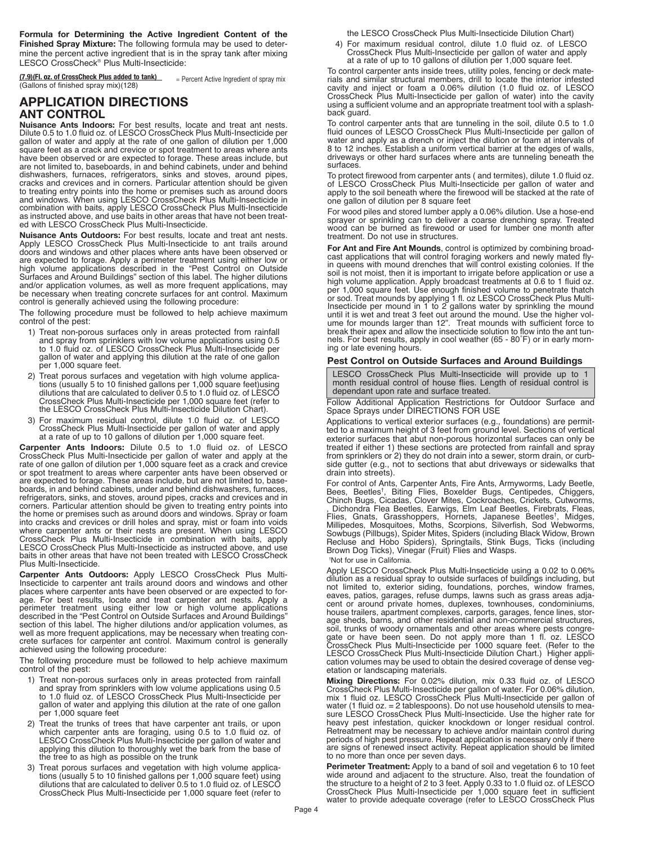**Formula for Determining the Active Ingredient Content of the Finished Spray Mixture:** The following formula may be used to determine the percent active ingredient that is in the spray tank after mixing LESCO CrossCheck® Plus Multi-Insecticide:

**(7.9)(Fl. oz. of CrossCheck Plus added to tank)** (7.9)(Fl. oz. of CrossCheck Plus added to tank) = Percent Active Ingredient of spray mix<br>(Gallons of finished spray mix)(128)

## **APPLICATION DIRECTIONS ANT CONTROL**

**Nuisance Ants Indoors:** For best results, locate and treat ant nests. Dilute 0.5 to 1.0 fluid oz. of LESCO CrossCheck Plus Multi-Insecticide per gallon of water and apply at the rate of one gallon of dilution per 1,000 square feet as a crack and crevice or spot treatment to areas where ants square feet as a crack and crevice or spot treatment to areas where ants<br>have been observed or are expected to forage. These areas include, but<br>are not limited to, baseboards, in and behind cabinets, under and behind dishwashers, furnaces, refrigerators, sinks and stoves, around pipes, cracks and crevices and in corners. Particular attention should be given to treating entry points into the home or premises such as around doors and windows. When using LESCO CrossCheck Plus Multi-Insecticide in combination with baits, apply LESCO CrossCheck Plus Multi-Insecticide as instructed above, and use baits in other areas that have not been treated with LESCO CrossCheck Plus Multi-Insecticide.

**Nuisance Ants Outdoors:** For best results, locate and treat ant nests. Apply LESCO CrossCheck Plus Multi-Insecticide to ant trails around doors and windows and other places where ants have been observed or are expected to forage. Apply a perimeter treatment using either low or high volume applications described in the "Pest Control on Outside Surfaces and Around Buildings" section of this label. The higher dilutions and/or application volumes, as well as more frequent applications, may be necessary when treating concrete surfaces for ant control. Maximum control is generally achieved using the following procedure:

The following procedure must be followed to help achieve maximum control of the pest:<br>
1) Treat non-porous surfaces only in areas protected from rainfall

- and spray from sprinklers with low volume applications using 0.5 to 1.0 fluid oz. of LESCO CrossCheck Plus Multi-Insecticide per gallon of water and applying this dilution at the rate of one gallon per 1,000 square feet.
- 2) Treat porous surfaces and vegetation with high volume applications (usually 5 to 10 finished gallons per 1,000 square feet)using dilutions that are calculated to deliver 0.5 to 1.0 fluid oz. of LESCO CrossCheck Plus Multi-Insecticide per 1,000 square feet (refer to the LESCO CrossCheck Plus Multi-Insecticide Dilution Chart).
- 3) For maximum residual control, dilute 1.0 fluid oz. of LESCO CrossCheck Plus Multi-Insecticide per gallon of water and apply at a rate of up to 10 gallons of dilution per 1,000 square feet.

**Carpenter Ants Indoors:** Dilute 0.5 to 1.0 fluid oz. of LESCO CrossCheck Plus Multi-Insecticide per gallon of water and apply at the rate of one gallon of dilution per 1,000 square feet as a crack and crevice or spot treatment to areas where carpenter ants have been observed or are expected to forage. These areas include, but are not limited to, baseboards, in and behind cabinets, under and behind dishwashers, furnaces, refrigerators, sinks, and stoves, around pipes, cracks and crevices and in corners. Particular attention should be given to treating entry points into the home or premises such as around doors and windows. Spray or foam into cracks and crevices or drill holes and spray, mist or foam into voids where carpenter ants or their nests are present. When using LESCO CrossCheck Plus Multi-Insecticide in combination with baits, apply LESCO CrossCheck Plus Multi-Insecticide as instructed above, and use baits in other areas that have not been treated with LESCO CrossCheck Plus Multi-Insecticide.

**Carpenter Ants Outdoors:** Apply LESCO CrossCheck Plus Multi-Insecticide to carpenter ant trails around doors and windows and other places where carpenter ants have been observed or are expected to forplace. For best results, locate and treat carpenter ant nests. Apply a<br>perimeter treatment using either low or high volume applications performed in the "Pest Control on Outside Surfaces and Around Buildings"<br>section of this label. The higher dilutions and/or application volumes, as well as more frequent applications, may be necessary when treating concrete surfaces for carpenter ant control. Maximum control is generally achieved using the following procedure:

The following procedure must be followed to help achieve maximum control of the pest:

- 1) Treat non-porous surfaces only in areas protected from rainfall and spray from sprinklers with low volume applications using 0.5 to 1.0 fluid oz. of LESCO CrossCheck Plus Multi-Insecticide per gallon of water and applying this dilution at the rate of one gallon per 1,000 square feet
- 2) Treat the trunks of trees that have carpenter ant trails, or upon which carpenter ants are foraging, using 0.5 to 1.0 fluid oz. of LESCO CrossCheck Plus Multi-Insecticide per gallon of water and applying this dilution to thoroughly wet the bark from the base of the tree to as high as possible on the trunk
- 3) Treat porous surfaces and vegetation with high volume applications (usually 5 to 10 finished gallons per 1,000 square feet) using dilutions that are calculated to deliver 0.5 to 1.0 fluid oz. of LESCO CrossCheck Plus Multi-Insecticide per 1,000 square feet (refer to

the LESCO CrossCheck Plus Multi-Insecticide Dilution Chart)

4) For maximum residual control, dilute 1.0 fluid oz. of LESCO CrossCheck Plus Multi-Insecticide per gallon of water and apply at <sup>a</sup> rate of up to <sup>10</sup> gallons of dilution per 1,000 square feet.

To control carpenter ants inside trees, utility poles, fencing or deck mate-<br>rials and similar structural members, drill to locate the interior infested<br>cavity and inject or foam a 0.06% dilution (1.0 fluid oz. of LESCO<br>Cr back quard.

To control carpenter ants that are tunneling in the soil, dilute 0.5 to 1.0 fluid ounces of LESCO CrossCheck Plus Multi-Insecticide per gallon of water and apply as a drench or inject the dilution or foam at intervals of 8 to 12 inches. Establish a uniform vertical barrier at the edges of walls, driveways or other hard surfaces where ants are tunneling beneath the surfaces.

To protect firewood from carpenter ants ( and termites), dilute 1.0 fluid oz. apply to the soil beneath where the firewood will be stacked at the rate of one gallon of dilution per 8 square feet

For wood piles and stored lumber apply a 0.06% dilution. Use a hose-end sprayer or sprinkling can to deliver <sup>a</sup> coarse drenching spray. Treated wood can be burned as firewood or used for lumber one month after treatment. Do not use in structures.

**For Ant and Fire Ant Mounds**, control is optimized by combining broad- cast applications that will control foraging workers and newly mated flysoil is not moist, then it is important to irrigate before application or use a high volume application. Apply broadcast treatments at 0.6 to 1 fluid oz.<br>per 1,000 square feet. Use enough finished volume to penetrate thatch per 1,000 square feet. Use enough finished volume to penetrate thatch<br>or sod. Treat mounds by applying 1 fl. oz LESCO CrossCheck Plus Multi-Insecticide per mound in 1 to 2 gallons water by sprinkling the mound<br>until it is wet and treat 3 feet out around the mound. Use the higher vol-<br>ume for mounds larger than 12". Treat mounds with sufficient force to break their apex and allow the insecticide solution to flow into the ant tunnels. For best results, apply in cool weather (65 - 80˚F) or in early morning or late evening hours.

## **Pest Control on Outside Surfaces and Around Buildings**

LESCO CrossCheck Plus Multi-Insecticide will provide up to 1 month residual control of house flies. Length of residual control is dependant upon rate and surface treated.

#### Follow Additional Application Restrictions for Outdoor Surface and Space Sprays under DIRECTIONS FOR USE

Applications to vertical exterior surfaces (e.g., foundations) are permitted to a maximum height of 3 feet from ground level. Sections of vertical exterior surfaces that abut non-porous horizontal surfaces can only be treated if either 1) these sections are protected from rainfall and spray from sprinklers or 2) they do not drain into a sewer, storm drain, or curbside gutter (e.g., not to sections that abut driveways or sidewalks that drain into streets).

For control of Ants, Carpenter Ants, Fire Ants, Armyworms, Lady Beetle,<br>Bees, Beetles<sup>t</sup>, Biting Flies, Boxelder Bugs, Centipedes, Chiggers,<br>Chinch Bugs, Cicadas, Clover Mites, Cockroaches, Crickets, Cutworms, , Dichondra Flea Beetles, Earwigs, Elm Leaf Beetles, Firebrats, Fleas, Flies, Gnats, Grasshoppers, Hornets, Japanese Beetles† Flies, Gnats, Grasshoppers, Hornets, Japanese Beetles<sup>т</sup>, Midges,<br>Millipedes, Mosquitoes, Moths, Scorpions, Silverfish, Sod Webworms,<br>Sowbugs(Pillbugs),Spider Mites,Spiders(including Black Widow, Brown Recluse and Hobo Spiders), Springtails, Stink Bugs, Ticks (including Brown Dog Ticks), Vinegar (Fruit) Flies and Wasps. † Not for use in California.

Apply LESCO CrossCheck Plus Multi-Insecticide using a 0.02 to 0.06% dilution as a residual spray to outside surfaces of buildings including, but not limited to, exterior siding, foundations, porches, window frames, eaves, patios, garages, refuse dumps, lawns such as grass areas adja- cent or around private homes, duplexes, townhouses, condominiums, house trailers, apartment complexes, carports, garages, fence lines, storage sheds, barns, and other residential and non-commercial structures, soil, trunks of woody ornamentals and other areas where pests congregate or have been seen. Do not apply more than 1 fl. oz. LESCO<br>CrossCheck Plus Multi-Insecticide per 1000 square feet. (Refer to the<br>LESCO CrossCheck Plus Multi-Insecticide Dilution Chart.) Higher appli-<br>cation volumes may etation or landscaping materials.

**Mixing Directions:** For 0.02% dilution, mix 0.33 fluid oz. of LESCO CrossCheck Plus Multi-Insecticide per gallon of water. For 0.06% dilution, mix 1 fluid oz. LESCO CrossCheck Plus Multi-Insecticide per gallon of water (1 fluid oz. = 2 tablespoons). Do not use household utensils to mea-sure LESCO CrossCheck Plus Multi-Insecticide. Use the higher rate for heavy pest infestation, quicker knockdown or longer residual control. Retreatment may be necessary to achieve and/or maintain control during periods of high pest pressure. Repeat application is necessary only if there are signs of renewed insect activity. Repeat application should be limited to no more than once per seven days.

**Perimeter Treatment:** Apply to a band of soil and vegetation 6 to 10 feet<br>wide around and adjacent to the structure. Also, treat the foundation of<br>the structure to a height of 2 to 3 feet. Apply 0.33 to 1.0 fluid oz. of L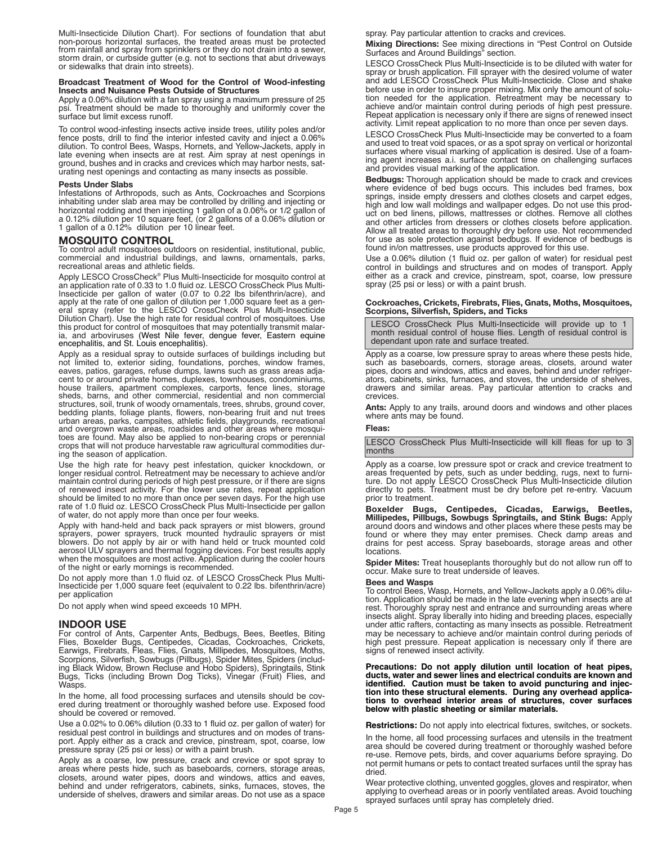Multi-Insecticide Dilution Chart). For sections of foundation that abut non-porous horizontal surfaces, the treated areas must be protected from rainfall and spray from sprinklers or they do not drain into a sewer, storm drain, or curbside gutter (e.g. not to sections that abut driveways or sidewalks that drain into streets).

#### **Broadcast Treatment of Wood for the Control of Wood-infesting Insects and Nuisance Pests Outside of Structures**

Apply a 0.06% dilution with a fan spray using a maximum pressure of 25 psi. Treatment should be made to thoroughly and uniformly cover the surface but limit excess runoff.

To control wood-infesting insects active inside trees, utility poles and/or fence posts, drill to find the interior infested cavity and inject a 0.06% dilution. To control Bees, Wasps, Hornets, and Yellow-Jackets, apply in late evening when insects are at rest. Aim spray at nest openings in ground, bushes and in cracks and crevices which may harbor nests, saturating nest openings and contacting as many insects as possible.

#### **Pests Under Slabs**

Infestations of Arthropods, such as Ants, Cockroaches and Scorpions inhabiting under slab area may be controlled by drilling and injecting or horizontal rodding and then injecting 1 gallon of a 0.06% or 1/2 gallon of a 0.12% dilution per 10 square feet, (or 2 gallons of a 0.06% dilution or 1 gallon of a 0.12% dilution per 10 linear feet.

**MOSQUITO CONTROL** commercial and industrial buildings, and lawns, ornamentals, parks,

recreational areas and athletic fields.<br>Apply LESCO CrossCheck® Plus Multi-Insecticide for mosquito control at Apply LESCO CrossCheck® Plus Multi-Insecticide for mosquito control at an application rate of 0.33 to 1.0 fluid oz. LESCO CrossCheck Plus Multi-Insecticide per gallon of water (0.07 to 0.22 lbs bifenthrin/acre), and<br>apply at the rate of one gallon of dilution per 1,000 square feet as a gen-<br>eral spray (refer to the LESCO CrossCheck Plus Multi-Insecticide<br>Dilution this product for control of mosquitoes that may potentially transmit malar-ia, and arboviruses (West Nile fever, dengue fever, Eastern equine encephalitis, and St. Louis encephalitis).

Apply as <sup>a</sup> residual spray to outside surfaces of buildings including but not limited to, exterior siding, foundations, porches, window frames, eaves, patios, garages, refuse dumps, lawns such as grass areas adjacent to or around private homes, duplexes, townhouses, condominiums, house trailers, apartment complexes, carports, fence lines, storage sheds, barns, and other commercial, residential and non commercial structures, soil, trunk of woody ornamentals, trees, shrubs, ground cover, bedding plants, foliage plants, flowers, non-bearing fruit and nut trees urban areas, parks, campsites, athletic fields, playgrounds, recreational and overgrown waste areas, roadsides and other areas where mosquitoes are found. May also be applied to non-bearing crops or perennial crops that will not produce harvestable raw agricultural commodities during the season of application.

Use the high rate for heavy pest infestation, quicker knockdown, or longer residual control. Retreatment may be necessary to achieve and/or maintain control during periods of high pest pressure, or if there are signs of renewed insect activity. For the lower use rates, repeat application should be limited to no more than once per seven days. For the high use<br>rate of 1.0 fluid oz. LESCO CrossCheck Plus Multi-Insecticide per gallon of water, do not apply more than once per four weeks.

Apply with hand-held and back pack sprayers or mist blowers, ground<br>sprayers, power sprayers, truck mounted hydraulic sprayers or mist<br>blowers. Do not apply by air or with hand held or truck mounted cold<br>aerosol ULV spraye when the mosquitoes are most active. Application during the cooler hours of the night or early mornings is recommended.

Do not apply more than 1.0 fluid oz. of LESCO CrossCheck Plus Multi- Insecticide per 1,000 square feet (equivalent to 0.22 lbs. bifenthrin/acre) per application

Do not apply when wind speed exceeds 10 MPH.

#### **INDOOR USE**

For control of Ants, Carpenter Ants, Bedbugs, Bees, Beetles, Biting Flies, Boxelder Bugs, Centipedes, Cicadas, Cockroaches, Crickets, Earwigs, Firebrats, Fleas, Flies, Gnats, Millipedes, Mosquitoes, Moths, Scorpions, Silverfish, Sowbugs (Pillbugs), Spider Mites, Spiders (including Black Widow, Brown Recluse and Hobo Spiders), Springtails, Stink Bugs, Ticks (including Brown Dog Ticks), Vinegar (Fruit) Flies, and Wasps.

In the home, all food processing surfaces and utensils should be covered during treatment or thoroughly washed before use. Exposed food should be covered or removed.

Use a 0.02% to 0.06% dilution (0.33 to 1 fluid oz. per gallon of water) for residual pest control in buildings and structures and on modes of transport. Apply either as a crack and crevice, pinstream, spot, coarse, low pressure spray (25 psi or less) or with a paint brush.

Apply as a coarse, low pressure, crack and crevice or spot spray to areas where pests hide, such as baseboards, corners, storage areas, closets, around water pipes, doors and windows, attics and eaves, behind and under refrigerators, cabinets, sinks, furnaces, stoves, the underside of shelves, drawers and similar areas. Do not use as a space spray. Pay particular attention to cracks and crevices.

**Mixing Directions:** See mixing directions in "Pest Control on Outside Surfaces and Around Buildings" section.

LESCO CrossCheck Plus Multi-Insecticide is to be diluted with water for spray or brush application. Fill sprayer with the desired volume of water and add LESCO CrossCheck Plus Multi-Insecticide. Close and shake before use in order to insure proper mixing. Mix only the amount of solution needed for the application. Retreatment may be necessary to achieve and/or maintain control during periods of high pest pressure. Repeat application is necessary only if there are signs of renewed insect activity. Limit repeat application to no more than once per seven days.

LESCO CrossCheck Plus Multi-Insecticide may be converted to a foam and used to treat void spaces, or as a spot spray on vertical or horizontal surfaces where visual marking of application is desired. Use of a foaming agent increases a.i. surface contact time on challenging surfaces and provides visual marking of the application.

**Bedbugs:** Thorough application should be made to crack and crevices where evidence of bed bugs occurs. This includes bed frames, box springs, inside empty dressers and clothes closets and carpet edges, high and low wall moldings and wallpaper edges. Do not use this product on bed linens, pillows, mattresses or clothes. Remove all clothes and other articles from dressers or clothes closets before application. Allow all treated areas to thoroughly dry before use. Not recommended for use as sole protection against bedbugs. If evidence of bedbugs is found in/on mattresses, use products approved for this use.

Use a 0.06% dilution (1 fluid oz. per gallon of water) for residual pest control in buildings and structures and on modes of transport. Apply either as a crack and crevice, pinstream, spot, coarse, low pressure spray (25 psi or less) or with a paint brush.

#### **Cockroaches, Crickets, Firebrats, Flies, Gnats, Moths, Mosquitoes, Scorpions, Silverfish, Spiders, and Ticks**

LESCO CrossCheck Plus Multi-Insecticide will provide up to 1 month residual control of house flies. Length of residual control is dependant upon rate and surface treated.

Apply as a coarse, low pressure spray to areas where these pests hide, such as baseboards, corners, storage areas, closets, around water pipes, doors and windows, attics and eaves, behind and under refrigerators, cabinets, sinks, furnaces, and stoves, the underside of shelves, drawers and similar areas. Pay particular attention to cracks and crevices.

**Ants:** Apply to any trails, around doors and windows and other places where ants may be found.

#### **Fleas:**

LESCO CrossCheck Plus Multi-Insecticide will kill fleas for up to 3 months

Apply as a coarse, low pressure spot or crack and crevice treatment to areas frequented by pets, such as under bedding, rugs, next to furniture. Do not apply LESCO CrossCheck Plus Multi-Insecticide dilution directly to pets. Treatment must be dry before pet re-entry. Vacuum prior to treatment.

**Boxelder Bugs, Centipedes, Cicadas, Earwigs, Beetles, Millipedes, Pillbugs, Sowbugs Springtails, and Stink Bugs:** Apply around doors and windows and other places where these pests may be found or where they may enter premises. Check damp areas and drains for pest access. Spray baseboards, storage areas and other locations.

**Spider Mites:** Treat houseplants thoroughly but do not allow run off to occur. Make sure to treat underside of leaves.

#### **Bees and Wasps**

To control Bees, Wasp, Hornets, and Yellow-Jackets apply a 0.06% dilution. Application should be made in the late evening when insects are at rest. Thoroughly spray nest and entrance and surrounding areas where insects alight. Spray liberally into hiding and breeding places, especially under attic rafters, contacting as many insects as possible. Retreatment may be necessary to achieve and/or maintain control during periods of high pest pressure. Repeat application is necessary only if there are signs of renewed insect activity.

**Precautions: Do not apply dilution until location of heat pipes, ducts, water and sewer lines and electrical conduits are known and identified. Caution must be taken to avoid puncturing and injection into these structural elements. During any overhead applications to overhead interior areas of structures, cover surfaces below with plastic sheeting or similar materials.**

**Restrictions:** Do not apply into electrical fixtures, switches, or sockets.

In the home, all food processing surfaces and utensils in the treatment area should be covered during treatment or thoroughly washed before re-use. Remove pets, birds, and cover aquariums before spraying. Do not permit humans or pets to contact treated surfaces until the spray has dried.

Wear protective clothing, unvented goggles, gloves and respirator, when applying to overhead areas or in poorly ventilated areas. Avoid touching sprayed surfaces until spray has completely dried.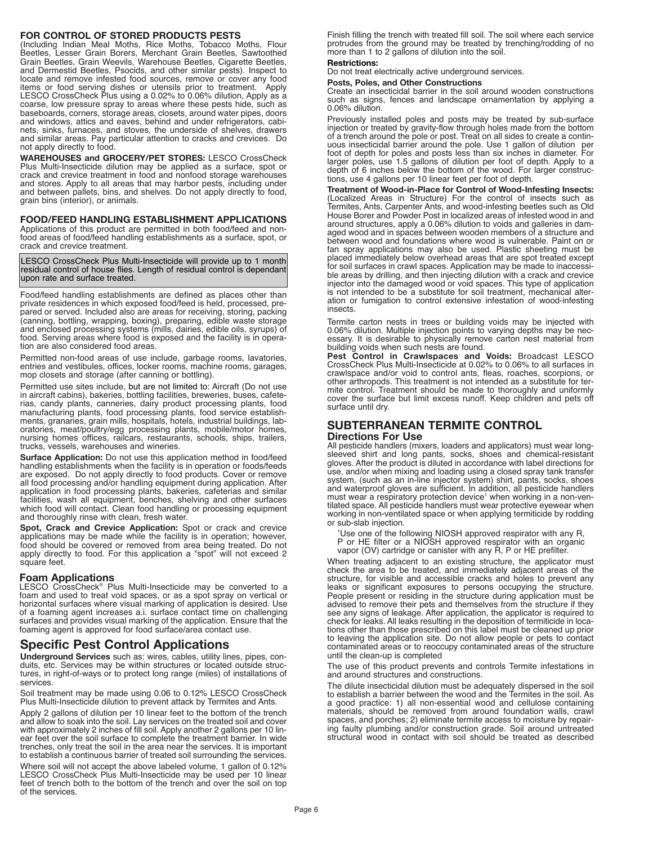#### **FOR CONTROL OF STORED PRODUCTS PESTS**

(Including Indian Meal Moths, Rice Moths, Tobacco Moths, Flour Beetles, Lesser Grain Borers, Merchant Grain Beetles, Sawtoothed Grain Beetles, Grain Weevils, Warehouse Beetles, Cigarette Beetles, and Dermestid Beetles, Psocids, and other similar pests). Inspect to locate and remove infested food sources, remove or cover any food items or food serving dishes or utensils prior to treatment. Apply LESCO CrossCheck Plus using a 0.02% to 0.06% dilution, Apply as a coarse, low pressure spray to areas where these pests hide, such as baseboards, corners, storage areas, closets, around water pipes, doors and windows, attics and eaves, behind and under refrigerators, cabinets, sinks, furnaces, and stoves, the underside of shelves, drawers and similar areas. Pay particular attention to cracks and crevices. Do not apply directly to food.

**WAREHOUSES and GROCERY/PET STORES:** LESCO CrossCheck Plus Multi-Insecticide dilution may be applied as a surface, spot or crack and crevice treatment in food and nonfood storage warehouses and stores. Apply to all areas that may harbor pests, including under and between pallets, bins, and shelves. Do not apply directly to food, grain bins (interior), or animals.

**FOOD/FEED HANDLING ESTABLISHMENT APPLICATIONS** food areas of food/feed handling establishments as a surface, spot, or crack and crevice treatment.

LESCO CrossCheck Plus Multi-Insecticide will provide up to 1 month residual control of house flies. Length of residual control is dependant upon rate and surface treated.

Food/feed handling establishments are defined as places other than private residences in which exposed food/feed is held, processed, prepared or served. Included also are areas for receiving, storing, packing (canning, bottling, wrapping, boxing), preparing, edible waste storage and enclosed processing systems (mills, dairies, edible oils, syrups) of food. Serving areas where food is exposed and the facility is in operation are also considered food areas.

Permitted non-food areas of use include, garbage rooms, lavatories, entries and vestibules, offices, locker rooms, machine rooms, garages, mop closets and storage (after canning or bottling).

Permitted use sites include, but are not limited to: Aircraft (Do not use in aircraft cabins), bakeries, bottling facilities, breweries, buses, cafeterias, candy plants, canneries, dairy product processing plants, food manufacturing plants, food processing plants, food service establishments, granaries, grain mills, hospitals, hotels, industrial buildings, laboratories, meat/poultry/egg processing plants, mobile/motor homes, nursing homes offices, railcars, restaurants, schools, ships, trailers, trucks, vessels, warehouses and wineries.

**Surface Application:** Do not use this application method in food/feed handling establishments when the facility is in operation or foods/feeds are exposed. Do not apply directly to food products. Cover or remove all food processing and/or handling equipment during application. After application in food processing plants, bakeries, cafeterias and similar facilities, wash all equipment, benches, shelving and other surfaces which food will contact. Clean food handling or processing equipment and thoroughly rinse with clean, fresh water.

**Spot, Crack and Crevice Application:** Spot or crack and crevice applications may be made while the facility is in operation; however, food should be covered or removed from area being treated. Do not apply directly to food. For this application a "spot" will not exceed 2 square feet.

#### **Foam Applications**

LESCO CrossCheck® Plus Multi-Insecticide may be converted to a foam and used to treat void spaces, or as a spot spray on vertical or horizontal surfaces where visual marking of application is desired. Use of a foaming agent increases a.i. surface contact time on challenging surfaces and provides visual marking of the application. Ensure that the foaming agent is approved for food surface/area contact use.

## **Specific Pest Control Applications**

**Underground Services** such as: wires, cables, utility lines, pipes, conduits, etc. Services may be within structures or located outside structures, in right-of-ways or to protect long range (miles) of installations of services.

Soil treatment may be made using 0.06 to 0.12% LESCO CrossCheck Plus Multi-Insecticide dilution to prevent attack by Termites and Ants.

Apply 2 gallons of dilution per 10 linear feet to the bottom of the trench and allow to soak into the soil. Lay services on the treated soil and cover with approximately 2 inches of fill soil. Apply another 2 gallons per 10 linear feet over the soil surface to complete the treatment barrier. In wide trenches, only treat the soil in the area near the services. It is important to establish a continuous barrier of treated soil surrounding the services.

Where soil will not accept the above labeled volume, 1 gallon of 0.12% LESCO CrossCheck Plus Multi-Insecticide may be used per 10 linear feet of trench both to the bottom of the trench and over the soil on top of the services.

Finish filling the trench with treated fill soil. The soil where each service protrudes from the ground may be treated by trenching/rodding of no more than 1 to 2 gallons of dilution into the soil.

#### **Restrictions:**

Do not treat electrically active underground services.

## **Posts, Poles, and Other Constructions**

Create an insecticidal barrier in the soil around wooden constructions such as signs, fences and landscape ornamentation by applying a 0.06% dilution.

Previously installed poles and posts may be treated by sub-surface injection or treated by gravity-flow through holes made from the bottom of a trench around the pole or post. Treat on all sides to create a continuous insecticidal barrier around the pole. Use 1 gallon of dilution per foot of depth for poles and posts less than six inches in diameter. For larger poles, use 1.5 gallons of dilution per foot of depth. Apply to a depth of 6 inches below the bottom of the wood. For larger constructions, use 4 gallons per 10 linear feet per foot of depth.

**Treatment of Wood-in-Place for Control of Wood-Infesting Insects:** (Localized Areas in Structure) For the control of insects such as Termites, Ants, Carpenter Ants, and wood-infesting beetles such as Old House Borer and Powder Post in localized areas of infested wood in and around structures, apply a 0.06% dilution to voids and galleries in damaged wood and in spaces between wooden members of a structure and between wood and foundations where wood is vulnerable. Paint on or fan spray applications may also be used. Plastic sheeting must be placed immediately below overhead areas that are spot treated except for soil surfaces in crawl spaces. Application may be made to inaccessible areas by drilling, and then injecting dilution with a crack and crevice injector into the damaged wood or void spaces. This type of application is not intended to be a substitute for soil treatment, mechanical alteration or fumigation to control extensive infestation of wood-infesting insects.

Termite carton nests in trees or building voids may be injected with 0.06% dilution. Multiple injection points to varying depths may be necessary. It is desirable to physically remove carton nest material from

building voids when such nests are found. **Pest Control in Crawlspaces and Voids:** Broadcast LESCO CrossCheck Plus Multi-Insecticide at 0.02% to 0.06% to all surfaces in crawlspace and/or void to control ants, fleas, roaches, scorpions, or other arthropods. This treatment is not intended as a substitute for termite control. Treatment should be made to thoroughly and uniformly cover the surface but limit excess runoff. Keep children and pets off surface until dry.

#### **SUBTERRANEAN TERMITE CONTROL Directions For Use**

All pesticide handlers (mixers, loaders and applicators) must wear longsleeved shirt and long pants, socks, shoes and chemical-resistant gloves. After the product is diluted in accordance with label directions for use, and/or when mixing and loading using a closed spray tank transfer system, (such as an in-line injector system) shirt, pants, socks, shoes and waterproof gloves are sufficient. In addition, all pesticide handlers must wear a respiratory protection device<sup>1</sup> when working in a non-ventilated space. All pesticide handlers must wear protective eyewear when working in non-ventilated space or when applying termiticide by rodding or sub-slab injection.

<sup>1</sup>Use one of the following NIOSH approved respirator with any R,

P or HE filter or a NIOSH approved respirator with an organic

vapor (OV) cartridge or canister with any R, P or HE prefilter.

When treating adjacent to an existing structure, the applicator must check the area to be treated, and immediately adjacent areas of the structure, for visible and accessible cracks and holes to prevent any leaks or significant exposures to persons occupying the structure. People present or residing in the structure during application must be advised to remove their pets and themselves from the structure if they see any signs of leakage. After application, the applicator is required to check for leaks. All leaks resulting in the deposition of termiticide in locations other than those prescribed on this label must be cleaned up prior to leaving the application site. Do not allow people or pets to contact contaminated areas or to reoccupy contaminated areas of the structure until the clean-up is completed

The use of this product prevents and controls Termite infestations in and around structures and constructions.

The dilute insecticidal dilution must be adequately dispersed in the soil to establish a barrier between the wood and the Termites in the soil. As a good practice: 1) all non-essential wood and cellulose containing materials, should be removed from around foundation walls, crawl spaces, and porches; 2) eliminate termite access to moisture by repairing faulty plumbing and/or construction grade. Soil around untreated structural wood in contact with soil should be treated as described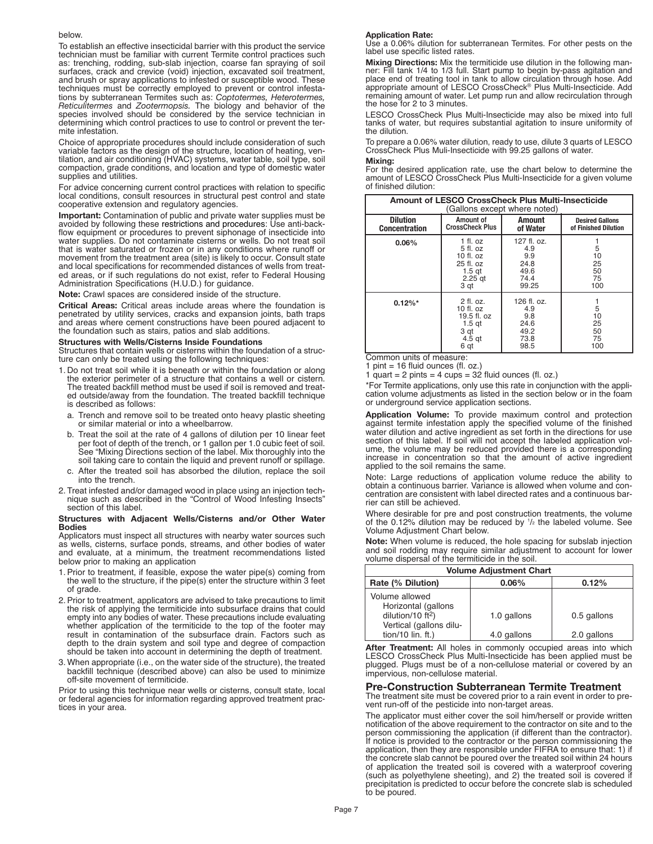#### below.

To establish an effective insecticidal barrier with this product the service technician must be familiar with current Termite control practices such as: trenching, rodding, sub-slab injection, coarse fan spraying of soil surfaces, crack and crevice (void) injection, excavated soil treatment, and brush or spray applications to infested or susceptible wood. These techniques must be correctly employed to prevent or control infestations by subterranean Termites such as: *Coptotermes, Heterotermes, Reticulitermes* and *Zootermopsis.* The biology and behavior of the species involved should be considered by the service technician in determining which control practices to use to control or prevent the termite infestation.

Choice of appropriate procedures should include consideration of such variable factors as the design of the structure, location of heating, ventilation, and air conditioning (HVAC) systems, water table, soil type, soil compaction, grade conditions, and location and type of domestic water supplies and utilities.

For advice concerning current control practices with relation to specific local conditions, consult resources in structural pest control and state cooperative extension and regulatory agencies.

**Important:** Contamination of public and private water supplies must be avoided by following these restrictions and procedures: Use anti-backflow equipment or procedures to prevent siphonage of insecticide into water supplies. Do not contaminate cisterns or wells. Do not treat soil that is water saturated or frozen or in any conditions where runoff or movement from the treatment area (site) is likely to occur. Consult state and local specifications for recommended distances of wells from treated areas, or if such regulations do not exist, refer to Federal Housing Administration Specifications (H.U.D.) for guidance.

**Note:** Crawl spaces are considered inside of the structure.

**Critical Areas:** Critical areas include areas where the foundation is penetrated by utility services, cracks and expansion joints, bath traps and areas where cement constructions have been poured adjacent to the foundation such as stairs, patios and slab additions.

#### **Structures with Wells/Cisterns Inside Foundations**

Structures that contain wells or cisterns within the foundation of a structure can only be treated using the following techniques:

- 1. Do not treat soil while it is beneath or within the foundation or along the exterior perimeter of a structure that contains a well or cistern. The treated backfill method must be used if soil is removed and treated outside/away from the foundation. The treated backfill technique is described as follows:
	- a. Trench and remove soil to be treated onto heavy plastic sheeting or similar material or into a wheelbarrow.
	- b. Treat the soil at the rate of 4 gallons of dilution per 10 linear feet per foot of depth of the trench, or 1 gallon per 1.0 cubic feet of soil. See "Mixing Directions section of the label. Mix thoroughly into the soil taking care to contain the liquid and prevent runoff or spillage.
	- c. After the treated soil has absorbed the dilution, replace the soil into the trench.
- 2. Treat infested and/or damaged wood in place using an injection technique such as described in the "Control of Wood Infesting Insects" section of this label.

#### **Structures with Adjacent Wells/Cisterns and/or Other Water Bodies**

Applicators must inspect all structures with nearby water sources such as wells, cisterns, surface ponds, streams, and other bodies of water and evaluate, at a minimum, the treatment recommendations listed below prior to making an application

- 1.Prior to treatment, if feasible, expose the water pipe(s) coming from the well to the structure, if the pipe(s) enter the structure within 3 feet of grade.
- 2.Prior to treatment, applicators are advised to take precautions to limit the risk of applying the termiticide into subsurface drains that could empty into any bodies of water. These precautions include evaluating whether application of the termiticide to the top of the footer may result in contamination of the subsurface drain. Factors such as depth to the drain system and soil type and degree of compaction should be taken into account in determining the depth of treatment.
- 3. When appropriate (i.e., on the water side of the structure), the treated backfill technique (described above) can also be used to minimize off-site movement of termiticide.

Prior to using this technique near wells or cisterns, consult state, local or federal agencies for information regarding approved treatment practices in your area.

#### **Application Rate:**

Use a 0.06% dilution for subterranean Termites. For other pests on the label use specific listed rates.

**Mixing Directions:** Mix the termiticide use dilution in the following man- ner: Fill tank 1/4 to 1/3 full. Start pump to begin by-pass agitation and place end of treating tool in tank to allow circulation through hose. Add appropriate amount of LESCO CrossCheck® Plus Multi-Insecticide. Add remaining amount of water. Let pump run and allow recirculation through the hose for 2 to 3 minutes.

LESCO CrossCheck Plus Multi-Insecticide may also be mixed into full tanks of water, but requires substantial agitation to insure uniformity of the dilution.

To prepare a 0.06% water dilution, ready to use, dilute 3 quarts of LESCO CrossCheck Plus Muli-Insecticide with 99.25 gallons of water.

#### **Mixing:**

For the desired application rate, use the chart below to determine the amount of LESCO CrossCheck Plus Multi-Insecticide for <sup>a</sup> given volume of finished dilution:

| Amount of LESCO CrossCheck Plus Multi-Insecticide<br>(Gallons except where noted) |                                                                                                  |                                                              |                                                |  |
|-----------------------------------------------------------------------------------|--------------------------------------------------------------------------------------------------|--------------------------------------------------------------|------------------------------------------------|--|
| <b>Dilution</b><br><b>Concentration</b>                                           | Amount of<br><b>CrossCheck Plus</b>                                                              | Amount<br>of Water                                           | <b>Desired Gallons</b><br>of Finished Dilution |  |
| 0.06%                                                                             | $1$ fl. oz<br>$5$ fl. oz<br>$10$ fl. $oz$<br>25 fl. oz<br>1.5 <sub>gt</sub><br>$2.25$ gt<br>3 qt | $127$ fl. oz.<br>4.9<br>9.9<br>24.8<br>49.6<br>74.4<br>99.25 | 5<br>10<br>25<br>50<br>75<br>100               |  |
| $0.12\%$ *                                                                        | $2$ fl. oz.<br>10 fl. $oz$<br>$19.5$ fl. oz<br>1.5 <sub>gt</sub><br>3 qt<br>$4.5$ gt<br>6 qt     | $126$ fl. oz.<br>4.9<br>9.8<br>24.6<br>49.2<br>73.8<br>98.5  | 5<br>10<br>25<br>50<br>75<br>100               |  |

Common units of measure:<br>1 pint = 16 fluid ounces (fl.  $point = 16$  fluid ounces (fl. oz.)

1 quart = 2 pints = 4 cups =  $32$  fluid ounces (fl. oz.)

\*For Termite applications, only use this rate in conjunction with the application volume adjustments as listed in the section below or in the foam or underground service application sections.

**Application Volume:** To provide maximum control and protection against termite infestation apply the specified volume of the finished water dilution and active ingredient as set forth in the directions for use section of this label. If soil will not accept the labeled application volume, the volume may be reduced provided there is a corresponding increase in concentration so that the amount of active ingredient applied to the soil remains the same.

Note: Large reductions of application volume reduce the ability to obtain a continuous barrier. Variance is allowed when volume and concentration are consistent with label directed rates and a continuous barrier can still be achieved.

Where desirable for pre and post construction treatments, the volume of the 0.12% dilution may be reduced by <sup>1</sup> /2 the labeled volume. See Volume Adjustment Chart below.

**Note:** When volume is reduced, the hole spacing for subslab injection and soil rodding may require similar adjustment to account for lower volume dispersal of the termiticide in the soil.

| <b>Volume Adjustment Chart</b>                                                           |             |             |  |
|------------------------------------------------------------------------------------------|-------------|-------------|--|
| Rate (% Dilution)                                                                        | $0.06\%$    | 0.12%       |  |
| Volume allowed<br>Horizontal (gallons<br>dilution/10 $ft^2$ )<br>Vertical (gallons dilu- | 1.0 gallons | 0.5 gallons |  |
| $tion/10$ $lin. ft.)$                                                                    | 4.0 gallons | 2.0 gallons |  |

**After Treatment:** All holes in commonly occupied areas into which LESCO CrossCheck Plus Multi-Insecticide has been applied must be plugged. Plugs must be of a non-cellulose material or covered by an impervious, non-cellulose material.

#### **Pre-Construction Subterranean Termite Treatment**

The treatment site must be covered prior to a rain event in order to prevent run-off of the pesticide into non-target areas.

The applicator must either cover the soil him/herself or provide written notification of the above requirement to the contractor on site and to the person commissioning the application (if different than the contractor). If notice is provided to the contractor or the person commissioning the application, then they are responsible under FIFRA to ensure that: 1) if the concrete slab cannot be poured over the treated soil within 24 hours of application the treated soil is covered with a waterproof covering (such as polyethylene sheeting), and 2) the treated soil is covered if precipitation is predicted to occur before the concrete slab is scheduled to be poured.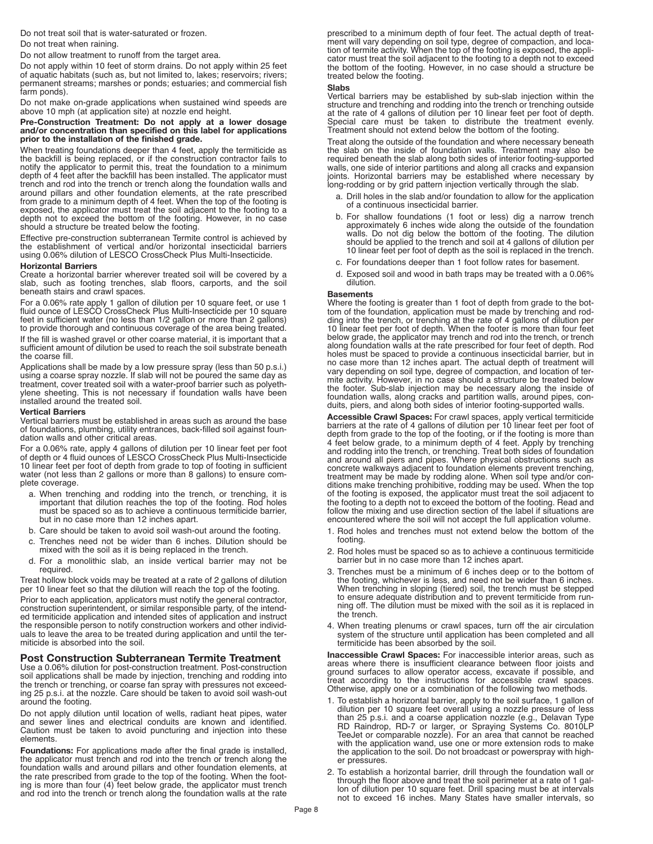Do not treat soil that is water-saturated or frozen. Do not treat when raining.

Do not allow treatment to runoff from the target area.

Do not apply within 10 feet of storm drains. Do not apply within 25 feet of aquatic habitats (such as, but not limited to, lakes; reservoirs; rivers; permanent streams; marshes or ponds; estuaries; and commercial fish farm ponds).

Do not make on-grade applications when sustained wind speeds are above 10 mph (at application site) at nozzle end height.

#### **Pre-Construction Treatment: Do not apply at a lower dosage and/or concentration than specified on this label for applications prior to the installation of the finished grade.**

When treating foundations deeper than 4 feet, apply the termiticide as the backfill is being replaced, or if the construction contractor fails to notify the applicator to permit this, treat the foundation to a minimum depth of 4 feet after the backfill has been installed. The applicator must trench and rod into the trench or trench along the foundation walls and around pillars and other foundation elements, at the rate prescribed from grade to a minimum depth of 4 feet. When the top of the footing is exposed, the applicator must treat the soil adjacent to the footing to a depth not to exceed the bottom of the footing. However, in no case should a structure be treated below the footing.

Effective pre-construction subterranean Termite control is achieved by the establishment of vertical and/or horizontal insecticidal barriers using 0.06% dilution of LESCO CrossCheck Plus Multi-Insecticide.

#### **Horizontal Barriers**

Create a horizontal barrier wherever treated soil will be covered by a slab, such as footing trenches, slab floors, carports, and the soil beneath stairs and crawl spaces.

For a 0.06% rate apply 1 gallon of dilution per 10 square feet, or use 1 fluid ounce of LESCO CrossCheck Plus Multi-Insecticide per 10 square feet in sufficient water (no less than 1/2 gallon or more than 2 gallons) to provide thorough and continuous coverage of the area being treated.

If the fill is washed gravel or other coarse material, it is important that a sufficient amount of dilution be used to reach the soil substrate beneath the coarse fill.

Applications shall be made by a low pressure spray (less than 50 p.s.i.) using a coarse spray nozzle. If slab will not be poured the same day as treatment, cover treated soil with a water-proof barrier such as polyethylene sheeting. This is not necessary if foundation walls have been installed around the treated soil.

#### **Vertical Barriers**

Vertical barriers must be established in areas such as around the base of foundations, plumbing, utility entrances, back-filled soil against foundation walls and other critical areas.

For a 0.06% rate, apply 4 gallons of dilution per 10 linear feet per foot of depth or 4 fluid ounces of LESCO CrossCheck Plus Multi-Insecticide 10 linear feet per foot of depth from grade to top of footing in sufficient water (not less than 2 gallons or more than 8 gallons) to ensure complete coverage.

- a. When trenching and rodding into the trench, or trenching, it is important that dilution reaches the top of the footing. Rod holes must be spaced so as to achieve a continuous termiticide barrier, but in no case more than 12 inches apart.
- b. Care should be taken to avoid soil wash-out around the footing.
- c. Trenches need not be wider than 6 inches. Dilution should be mixed with the soil as it is being replaced in the trench.
- d. For a monolithic slab, an inside vertical barrier may not be required.

Treat hollow block voids may be treated at a rate of 2 gallons of dilution per 10 linear feet so that the dilution will reach the top of the footing. Prior to each application, applicators must notify the general contractor, construction superintendent, or similar responsible party, of the intended termiticide application and intended sites of application and instruct the responsible person to notify construction workers and other individuals to leave the area to be treated during application and until the ter- miticide is absorbed into the soil.

#### **Post Construction Subterranean Termite Treatment**

Use a 0.06% dilution for post-construction treatment. Post-construction soil applications shall be made by injection, trenching and rodding into the trench or trenching, or coarse fan spray with pressures not exceeding 25 p.s.i. at the nozzle. Care should be taken to avoid soil wash-out around the footing.

Do not apply dilution until location of wells, radiant heat pipes, water and sewer lines and electrical conduits are known and identified. Caution must be taken to avoid puncturing and injection into these elements.

**Foundations:** For applications made after the final grade is installed, the applicator must trench and rod into the trench or trench along the foundation walls and around pillars and other foundation elements, at the rate prescribed from grade to the top of the footing. When the footing is more than four (4) feet below grade, the applicator must trench and rod into the trench or trench along the foundation walls at the rate prescribed to a minimum depth of four feet. The actual depth of treatment will vary depending on soil type, degree of compaction, and location of termite activity. When the top of the footing is exposed, the applicator must treat the soil adjacent to the footing to a depth not to exceed the bottom of the footing. However, in no case should a structure be treated below the footing.

#### **Slabs**

Vertical barriers may be established by sub-slab injection within the structure and trenching and rodding into the trench or trenching outside at the rate of 4 gallons of dilution per 10 linear feet per foot of depth. Special care must be taken to distribute the treatment evenly. Treatment should not extend below the bottom of the footing.

Treat along the outside of the foundation and where necessary beneath the slab on the inside of foundation walls. Treatment may also be required beneath the slab along both sides of interior footing-supported walls, one side of interior partitions and along all cracks and expansion joints. Horizontal barriers may be established where necessary by long-rodding or by grid pattern injection vertically through the slab.

- a. Drill holes in the slab and/or foundation to allow for the application of a continuous insecticidal barrier.
- b. For shallow foundations (1 foot or less) dig a narrow trench approximately 6 inches wide along the outside of the foundation walls. Do not dig below the bottom of the footing. The dilution should be applied to the trench and soil at 4 gallons of dilution per 10 linear feet per foot of depth as the soil is replaced in the trench.
- c. For foundations deeper than 1 foot follow rates for basement.
- d. Exposed soil and wood in bath traps may be treated with a 0.06% dilution.

### **Basements**

Where the footing is greater than 1 foot of depth from grade to the bottom of the foundation, application must be made by trenching and rodding into the trench, or trenching at the rate of 4 gallons of dilution per 10 linear feet per foot of depth. When the footer is more than four feet below grade, the applicator may trench and rod into the trench, or trench along foundation walls at the rate prescribed for four feet of depth. Rod holes must be spaced to provide a continuous insecticidal barrier, but in no case more than 12 inches apart. The actual depth of treatment will vary depending on soil type, degree of compaction, and location of termite activity. However, in no case should a structure be treated below the footer. Sub-slab injection may be necessary along the inside of foundation walls, along cracks and partition walls, around pipes, conduits, piers, and along both sides of interior footing-supported walls.

**Accessible Crawl Spaces:** For crawl spaces, apply vertical termiticide barriers at the rate of 4 gallons of dilution per 10 linear feet per foot of depth from grade to the top of the footing, or if the footing is more than 4 feet below grade, to a minimum depth of 4 feet. Apply by trenching and rodding into the trench, or trenching. Treat both sides of foundation and around all piers and pipes. Where physical obstructions such as concrete walkways adjacent to foundation elements prevent trenching, treatment may be made by rodding alone. When soil type and/or conditions make trenching prohibitive, rodding may be used. When the top of the footing is exposed, the applicator must treat the soil adjacent to the footing to a depth not to exceed the bottom of the footing. Read and follow the mixing and use direction section of the label if situations are encountered where the soil will not accept the full application volume.

- 1. Rod holes and trenches must not extend below the bottom of the footing.
- 2. Rod holes must be spaced so as to achieve a continuous termiticide barrier but in no case more than 12 inches apart.
- 3. Trenches must be a minimum of 6 inches deep or to the bottom of the footing, whichever is less, and need not be wider than 6 inches. When trenching in sloping (tiered) soil, the trench must be stepped to ensure adequate distribution and to prevent termiticide from running off. The dilution must be mixed with the soil as it is replaced in the trench.
- 4. When treating plenums or crawl spaces, turn off the air circulation system of the structure until application has been completed and all termiticide has been absorbed by the soil.

**Inaccessible Crawl Spaces:** For inaccessible interior areas, such as areas where there is insufficient clearance between floor joists and ground surfaces to allow operator access, excavate if possible, and treat according to the instructions for accessible crawl spaces. Otherwise, apply one or a combination of the following two methods.

- 1. To establish a horizontal barrier, apply to the soil surface, 1 gallon of dilution per 10 square feet overall using a nozzle pressure of less than 25 p.s.i. and a coarse application nozzle (e.g., Delavan Type RD Raindrop, RD-7 or larger, or Spraying Systems Co. 8010LP TeeJet or comparable nozzle). For an area that cannot be reached with the application wand, use one or more extension rods to make the application to the soil. Do not broadcast or powerspray with higher pressures.
- 2. To establish a horizontal barrier, drill through the foundation wall or through the floor above and treat the soil perimeter at a rate of 1 gallon of dilution per 10 square feet. Drill spacing must be at intervals not to exceed 16 inches. Many States have smaller intervals, so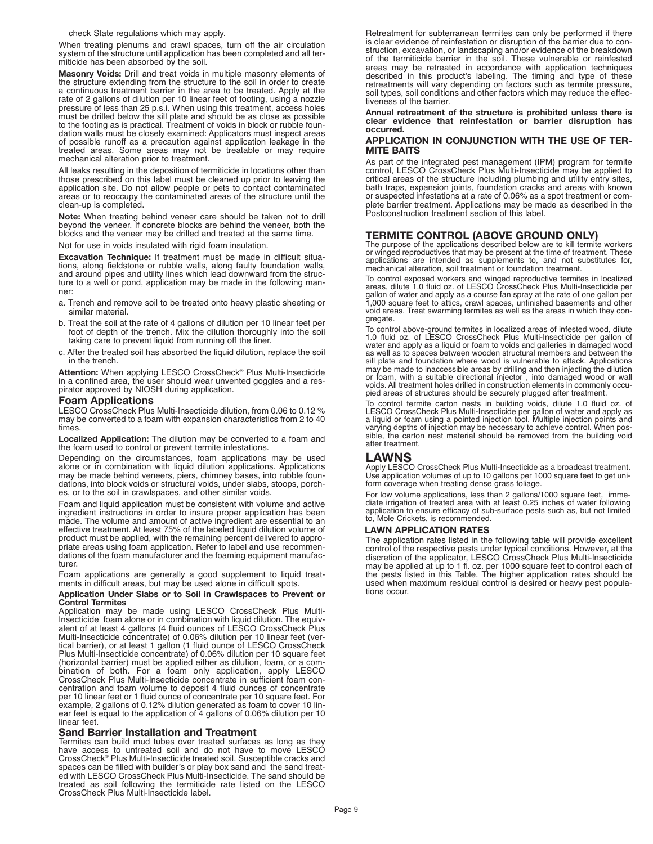check State regulations which may apply.

When treating plenums and crawl spaces, turn off the air circulation system of the structure until application has been completed and all termiticide has been absorbed by the soil.

**Masonry Voids:** Drill and treat voids in multiple masonry elements of the structure extending from the structure to the soil in order to create a continuous treatment barrier in the area to be treated. Apply at the rate of 2 gallons of dilution per 10 linear feet of footing, using a nozzle pressure of less than 25 p.s.i. When using this treatment, access holes must be drilled below the sill plate and should be as close as possible to the footing as is practical. Treatment of voids in block or rubble foundation walls must be closely examined: Applicators must inspect areas of possible runoff as a precaution against application leakage in the treated areas. Some areas may not be treatable or may require mechanical alteration prior to treatment.

All leaks resulting in the deposition of termiticide in locations other than those prescribed on this label must be cleaned up prior to leaving the application site. Do not allow people or pets to contact contaminated areas or to reoccupy the contaminated areas of the structure until the clean-up is completed.

**Note:** When treating behind veneer care should be taken not to drill beyond the veneer. If concrete blocks are behind the veneer, both the blocks and the veneer may be drilled and treated at the same time.

Not for use in voids insulated with rigid foam insulation.

**Excavation Technique:** If treatment must be made in difficult situations, along fieldstone or rubble walls, along faulty foundation walls, and around pipes and utility lines which lead downward from the structure to a well or pond, application may be made in the following manner:

- a. Trench and remove soil to be treated onto heavy plastic sheeting or similar material.
- b. Treat the soil at the rate of 4 gallons of dilution per 10 linear feet per foot of depth of the trench. Mix the dilution thoroughly into the soil taking care to prevent liquid from running off the liner.
- c. After the treated soil has absorbed the liquid dilution, replace the soil in the trench.

**Attention:** When applying LESCO CrossCheck® Plus Multi-Insecticide in a confined area, the user should wear unvented goggles and a respirator approved by NIOSH during application.

#### **Foam Applications**

LESCO CrossCheck Plus Multi-Insecticide dilution, from 0.06 to 0.12 % may be converted to a foam with expansion characteristics from 2 to 40 times.

**Localized Application:** The dilution may be converted to a foam and the foam used to control or prevent termite infestations.

Depending on the circumstances, foam applications may be used alone or in combination with liquid dilution applications. Applications may be made behind veneers, piers, chimney bases, into rubble foundations, into block voids or structural voids, under slabs, stoops, porches, or to the soil in crawlspaces, and other similar voids.

Foam and liquid application must be consistent with volume and active ingredient instructions in order to insure proper application has been made. The volume and amount of active ingredient are essential to an effective treatment. At least 75% of the labeled liquid dilution volume of product must be applied, with the remaining percent delivered to appropriate areas using foam application. Refer to label and use recommendations of the foam manufacturer and the foaming equipment manufacturer.

Foam applications are generally a good supplement to liquid treatments in difficult areas, but may be used alone in difficult spots.

#### **Application Under Slabs or to Soil in Crawlspaces to Prevent or Control Termites**

Application may be made using LESCO CrossCheck Plus Multi-Insecticide foam alone or in combination with liquid dilution. The equivalent of at least 4 gallons (4 fluid ounces of LESCO CrossCheck Plus Multi-Insecticide concentrate) of 0.06% dilution per 10 linear feet (vertical barrier), or at least 1 gallon (1 fluid ounce of LESCO CrossCheck Plus Multi-Insecticide concentrate) of 0.06% dilution per 10 square feet (horizontal barrier) must be applied either as dilution, foam, or a combination of both. For a foam only application, apply LESCO centration and foam volume to deposit 4 fluid ounces of concentrate per 10 linear feet or 1 fluid ounce of concentrate per 10 square feet. For example, 2 gallons of 0.12% dilution generated as foam to cover 10 linear feet is equal to the application of 4 gallons of 0.06% dilution per 10 linear feet.

#### **Sand Barrier Installation and Treatment**

Termites can build mud tubes over treated surfaces as long as they have access to untreated soil and do not have to move LESCO CrossCheck® Plus Multi-Insecticide treated soil. Susceptible cracks and spaces can be filled with builder's or play box sand and the sand treated with LESCO CrossCheck Plus Multi-Insecticide. The sand should be treated as soil following the termiticide rate listed on the LESCO CrossCheck Plus Multi-Insecticide label.

Retreatment for subterranean termites can only be performed if there is clear evidence of reinfestation or disruption of the barrier due to construction, excavation, or landscaping and/or evidence of the breakdown of the termiticide barrier in the soil. These vulnerable or reinfested areas may be retreated in accordance with application techniques described in this product's labeling. The timing and type of these retreatments will vary depending on factors such as termite pressure, soil types, soil conditions and other factors which may reduce the effectiveness of the barrier.

#### **Annual retreatment of the structure is prohibited unless there is clear evidence that reinfestation or barrier disruption has occurred.**

#### **APPLICATION IN CONJUNCTION WITH THE USE OF TER-MITE BAITS**

As part of the integrated pest management (IPM) program for termite control, LESCO CrossCheck Plus Multi-Insecticide may be applied to critical areas of the structure including plumbing and utility entry sites, bath traps, expansion joints, foundation cracks and areas with known or suspected infestations at a rate of 0.06% as a spot treatment or complete barrier treatment. Applications may be made as described in the Postconstruction treatment section of this label.

#### **TERMITE CONTROL (ABOVE GROUND ONLY)**

The purpose of the applications described below are to kill termite workers or winged reproductives that may be present at the time of treatment. These applications are intended as supplements to, and not substitutes for, mechanical alteration, soil treatment or foundation treatment.

To control exposed workers and winged reproductive termites in localized areas, dilute 1.0 fluid oz. of LESCO CrossCheck Plus Multi-Insecticide per gallon of water and apply as a course fan spray at the rate of one gallon per<br>1,000 square feet to attics, crawl spaces, unfinished basements and other<br>void areas. Treat swarming termites as well as the areas in which they

To control above-ground termites in localized areas of infested wood, dilute water and apply as a liquid or foam to voids and galleries in damaged wood<br>as well as to spaces between wooden structural members and between the<br>sill plate and foundation where wood is vulnerable to attack. Applications<br>m

To control termite carton nests in building voids, dilute 1.0 fluid oz. of LESCO CrossCheck Plus Multi-Insecticide per gallon of water and apply as a liquid or foam using a pointed injection tool. Multiple injection points a media or realm almost marginal position and be necessary to achieve control. When possible, the carton nest material should be removed from the building void after treatment.

### **LAWNS**

Apply LESCO CrossCheck Plus Multi-Insecticide as a broadcast treatment. Use application volumes of up to 10 gallons per 1000 square feet to get uni-form coverage when treating dense grass foliage.

For low volume applications, less than 2 gallons/1000 square feet, immediate irrigation of treated area with at least 0.25 inches of water following application to ensure efficacy of sub-surface pests such as, but not limited to, Mole Crickets, is recommended.

#### **LAWN APPLICATION RATES**

The application rates listed in the following table will provide excellent control of the respective pests under typical conditions. However, at the discretion of the applicator, LESCO CrossCheck Plus Multi-Insecticide may be applied at up to 1 fl. oz. per 1000 square feet to control each of the pests listed in this Table. The higher application rates should be used when maximum residual control is desired or heavy pest populations occur.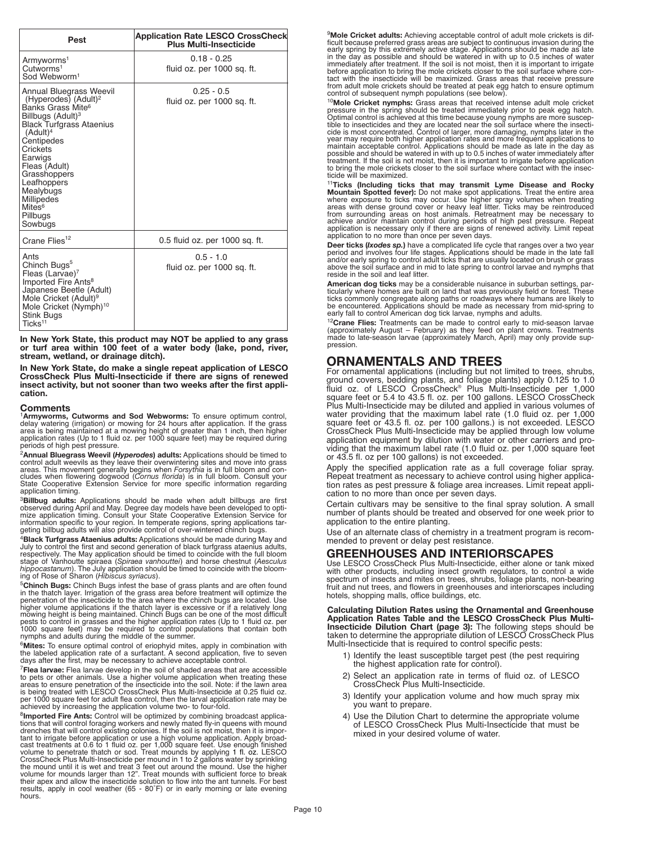| Pest                                                                                                                                                                                                                                                                                                                                                  | <b>Application Rate LESCO CrossCheck</b><br><b>Plus Multi-Insecticide</b> |
|-------------------------------------------------------------------------------------------------------------------------------------------------------------------------------------------------------------------------------------------------------------------------------------------------------------------------------------------------------|---------------------------------------------------------------------------|
| Armyworms <sup>1</sup><br>Cutworms <sup>1</sup><br>Sod Webworm <sup>1</sup>                                                                                                                                                                                                                                                                           | $0.18 - 0.25$<br>fluid oz. per 1000 sq. ft.                               |
| Annual Bluegrass Weevil<br>(Hyperodes) (Adult) <sup>2</sup><br>Banks Grass Mite <sup>6</sup><br>Billbugs (Adult) <sup>3</sup><br><b>Black Turfgrass Ataenius</b><br>(Adult) <sup>4</sup><br>Centipedes<br>Crickets<br>Earwigs<br>Fleas (Adult)<br>Grasshoppers<br>Leafhoppers<br>Mealybugs<br>Millipedes<br>Mites <sup>6</sup><br>Pillbugs<br>Sowbugs | $0.25 - 0.5$<br>fluid oz. per 1000 sq. ft.                                |
| Crane Flies <sup>12</sup>                                                                                                                                                                                                                                                                                                                             | 0.5 fluid oz. per 1000 sq. ft.                                            |
| Ants<br>Chinch Bugs <sup>5</sup><br>Fleas (Larvae) <sup>7</sup><br>Imported Fire Ants <sup>8</sup><br>Japanese Beetle (Adult)<br>Mole Cricket (Adult) <sup>9</sup><br>Mole Cricket (Nymph) <sup>10</sup><br><b>Stink Bugs</b><br>Ticks <sup>11</sup>                                                                                                  | $0.5 - 1.0$<br>fluid oz. per 1000 sq. ft.                                 |

**In New York State, this product may NOT be applied to any grass or turf area within 100 feet of a water body (lake, pond, river, stream, wetland, or drainage ditch).**

**In New York State, do make a single repeat application of LESCO CrossCheck Plus Multi-Insecticide if there are signs of renewed insect activity, but not sooner than two weeks after the first application.**

**Comments**<br><sup>1</sup>**Armyworms, Cutworms and Sod Webworms:** To ensure optimum control,<br>delay watering (irrigation) or mowing for 24 hours after application. If the grass<br>area is being maintained at a mowing height of greater tha

periods of high pest pressure.<br><sup>2</sup>Annual Bluegrass Weevil (Hyperodes) adults: Applications should be timed to Formula Dutil weevils as they leave their overwintering sites and move into grass<br>areas. This movement generally begins when *Forsythia* is in full bloom and con-<br>cludes when flowering dogwood (Cornus florida) is in full b

<sup>2</sup>Billbug adults: Applications should be made when adult billbugs are first observed during April and May. Degree day models have been developed to optimize application timing. Consult your State Cooperative Extension Ser

<sup>4</sup>**Black Turfgrass Ataenius adults:** Applications should be made during May and stage of Vanhoutte spiraea (Spiraea vanhouttei) and horse chestnut (Aesculus<br>hippocastanum). The July application should be timed to coincide with the bloom-<br>ing of Rose of Sharon (Hibiscus syriacus).

 $5$ **Chinch Bugs:** Chinch Bugs infest the base of grass plants and are often found in the thatch layer. Irrigation of the grass area before treatment will optimize the penetration of the insecticide to the area where the c pests to control in grasses and the higher application rates (Up to 1 fluid oz. per 1000 square feet) may be required to control populations that contain both nodes and adults during the middle of the summer.

<sup>6</sup>Mites: To ensure optimal control of eriophyid mites, apply in combination with<br>the labeled application rate of a surfactant. A second application, five to seven<br>days after the first, may be necessary to achieve acceptab

 $^7$ **Flea larvae:** Flea larvae develop in the soil of shaded areas that are accessible to pets or other animals. Use a higher volume application when treating these areas to ensure penetration of the insecticide into the

<sup>8</sup>**Imported Fire Ants:** Control will be optimized by combining broadcast applications that will control oraging workers and newly mated fly-in queens with mound drenches that will control existing colonies. If the soil is drenches that will control existing colonies. If the soil is not moist, then it is important to irrigate before application or use a high volume application. Apply broad-<br>cast treatments at 0.6 to 1 fluid oz. per 1,000 squ their apex and allow the insecticide solution to flow into the ant tunnels. For best results, apply in cool weather (65 - 80˚F) or in early morning or late evening hours.

<sup>9</sup>Mole Cricket adults: Achieving acceptable control of adult mole crickets is difficult because preferred grass areas are subject to continuous invasion during the early spring by this extremely active stage. Application

<sup>10</sup>**Mole Cricket nymphs:** Grass areas that received intense adult mole cricket<br>pressure in the spring should be treated immediately prior to peak egg hatch.<br>Optimal control is achieved at this time because young nymphs a

<sup>11</sup>Ticks (Including ticks that may transmit Lyme Disease and Rocky<br>Mountain Spotted fever): Do not make spot applications. Treat the entire area<br>where exposure to ticks may occur. Use higher spray volumes when treating<br>ar from surrounding areas on host animals. Retreatment may be necessary to<br>achieve and/or maintain control during periods of high pest pressure. Repeat<br>application is necessary only if there are signs of renewed activity. Lim

Deer ticks (*kodes sp.*) have a complicated life cycle that ranges over a two year period and involves four life stages. Applications should be made in the late fall and/or early spring to control adult ticks that are usua

Finally where homes are built on land that was previously field or forest. These ticks commonly congregate along paths or roadways where humans are likely to be encountered. Applications should be made as necessary from mi

<sup>12</sup>Crane Flies: Treatments can be made to control early to mid-season larvae (approximately August – February) as they feed on plant crowns. Treatments made to late-season larvae (approximately March, April) may only prov

## **ORNAMENTALS AND TREES**

For ornamental applications (including but not limited to trees, shrubs, ground covers, bedding plants, and foliage plants) apply 0.125 to 1.0 fluid oz. of LESCO CrossCheck® Plus Multi-Insecticide per 1,000 square feet or 5.4 to 43.5 fl. oz. per 100 gallons. LESCO CrossCheck Plus Multi-Insecticide may be diluted and applied in various volumes of water providing that the maximum label rate (1.0 fluid oz. per 1,000 square feet or 43.5 fl. oz. per 100 gallons.) is not exceeded. LESCO CrossCheck Plus Multi-Insecticide may be applied through low volume application equipment by dilution with water or other carriers and providing that the maximum label rate (1.0 fluid oz. per 1,000 square feet or 43.5 fl. oz per 100 gallons) is not exceeded.

Apply the specified application rate as a full coverage foliar spray. Repeat treatment as necessary to achieve control using higher application rates as pest pressure & foliage area increases. Limit repeat application to no more than once per seven days.

Certain cultivars may be sensitive to the final spray solution. A small number of plants should be treated and observed for one week prior to application to the entire planting.

Use of an alternate class of chemistry in a treatment program is recommended to prevent or delay pest resistance.

# **GREENHOUSES AND INTERIORSCAPES**

with other products, including insect growth regulators, to control a wide spectrum of insects and mites on trees, shrubs, foliage plants, non-bearing fruit and nut trees, and flowers in greenhouses and interiorscapes including hotels, shopping malls, office buildings, etc.

**Calculating Dilution Rates using the Ornamental and Greenhouse Application Rates Table and the LESCO CrossCheck Plus Multi-Insecticide Dilution Chart (page 3):** The following steps should be taken to determine the appropriate dilution of LESCO CrossCheck Plus Multi-Insecticide that is required to control specific pests:

- 1) Identify the least susceptible target pest (the pest requiring the highest application rate for control).
- 2) Select an application rate in terms of fluid oz. of LESCO CrossCheck Plus Multi-Insecticide.
- 3) Identify your application volume and how much spray mix you want to prepare.
- 4) Use the Dilution Chart to determine the appropriate volume of LESCO CrossCheck Plus Multi-Insecticide that must be mixed in your desired volume of water.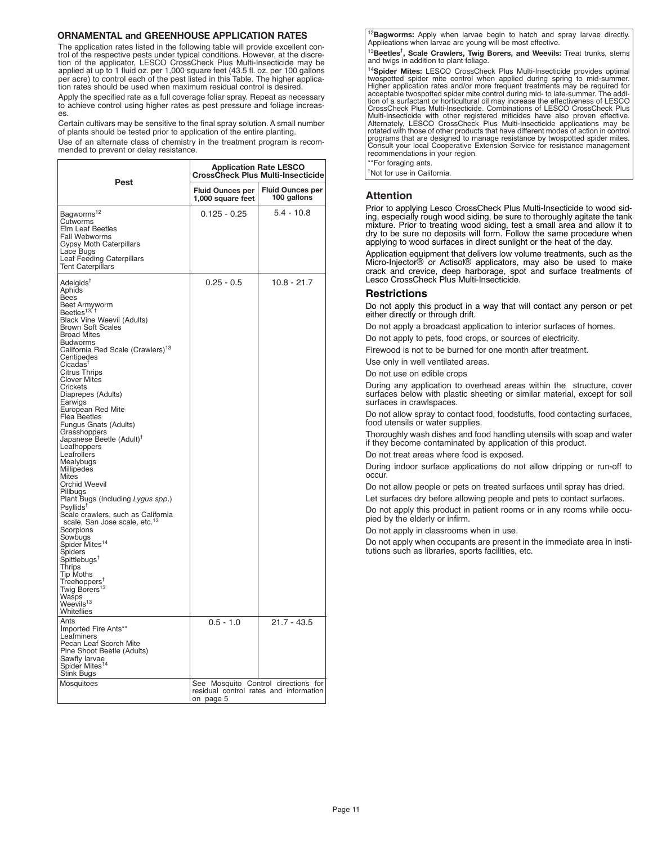#### **ORNAMENTAL and GREENHOUSE APPLICATION RATES**

The application rates listed in the following table will provide excellent control of the respective pests under typical conditions. However, at the discre-<br>tion of the applicator, LESCO CrossCheck Plus Multi-Insecticide may be<br>applied at up to 1 fluid oz. per 1,000 square feet (43.5 fl. oz. per 100 per acre) to control each of the pest listed in this Table. The higher application rates should be used when maximum residual control is desired.

Apply the specified rate as a full coverage foliar spray. Repeat as necessary to achieve control using higher rates as pest pressure and foliage increases.

Certain cultivars may be sensitive to the final spray solution. A small number of plants should be tested prior to application of the entire planting.

Use of an alternate class of chemistry in the treatment program is recommended to prevent or delay resistance.

|                                                                                                                                                                                                                                                                                                                                                                                                                                                                                                                                                                                                                                                                                                                                                                                                                                                                                                                                                                                                                                                                                                                                                                | <b>Application Rate LESCO</b><br><b>CrossCheck Plus Multi-Insecticide</b> |                                                                               |  |
|----------------------------------------------------------------------------------------------------------------------------------------------------------------------------------------------------------------------------------------------------------------------------------------------------------------------------------------------------------------------------------------------------------------------------------------------------------------------------------------------------------------------------------------------------------------------------------------------------------------------------------------------------------------------------------------------------------------------------------------------------------------------------------------------------------------------------------------------------------------------------------------------------------------------------------------------------------------------------------------------------------------------------------------------------------------------------------------------------------------------------------------------------------------|---------------------------------------------------------------------------|-------------------------------------------------------------------------------|--|
| Pest                                                                                                                                                                                                                                                                                                                                                                                                                                                                                                                                                                                                                                                                                                                                                                                                                                                                                                                                                                                                                                                                                                                                                           | <b>Fluid Ounces per</b><br>1,000 square feet                              | <b>Fluid Ounces per</b><br>100 gallons                                        |  |
| Bagworms <sup>12</sup><br>Cutworms<br>Elm Leaf Beetles<br>Fall Webworms<br>Gypsy Moth Caterpillars<br>Lace Bugs<br>Leaf Feeding Caterpillars<br><b>Tent Caterpillars</b>                                                                                                                                                                                                                                                                                                                                                                                                                                                                                                                                                                                                                                                                                                                                                                                                                                                                                                                                                                                       | $0.125 - 0.25$                                                            | $5.4 - 10.8$                                                                  |  |
| Adelgids <sup>†</sup><br>Aphids<br>Bees<br>Beet Armyworm<br>Beetles <sup>13, †</sup><br><b>Black Vine Weevil (Adults)</b><br>Brown Soft Scales<br><b>Broad Mites</b><br>Budworms<br>California Red Scale (Crawlers) <sup>13</sup><br>Centipedes<br>Cicadas <sup>1</sup><br><b>Citrus Thrips</b><br><b>Clover Mites</b><br>Crickets<br>Diaprepes (Adults)<br>Earwigs<br>European Red Mite<br><b>Flea Beetles</b><br>Fungus Gnats (Adults)<br>Grasshoppers<br>Japanese Beetle (Adult) <sup>†</sup><br>Leafhoppers<br>Leafrollers<br>Mealybugs<br>Millipedes<br>Mites<br>Orchid Weevil<br>Pillbugs<br>Plant Bugs (Including Lygus spp.)<br>Psyllids <sup>†</sup><br>Scale crawlers, such as California<br>scale, San Jose scale, etc. <sup>13</sup><br>Scorpions<br>Sowbugs<br>Spider Mites <sup>14</sup><br>Spiders<br>${\sf Spittlebugs}^{\intercal}$<br>Thrips<br><b>Tip Moths</b><br>Treehoppers <sup>†</sup><br>Twig Borers <sup>13</sup><br>Wasps<br>Weevils <sup>13</sup><br>Whiteflies<br>Ants<br>Imported Fire Ants**<br>Leafminers<br>Pecan Leaf Scorch Mite<br>Pine Shoot Beetle (Adults)<br>Sawfly larvae<br>Spider Mites <sup>14</sup><br>Stink Bugs | $0.25 - 0.5$<br>$0.5 - 1.0$                                               | 10.8 - 21.7<br>$21.7 - 43.5$                                                  |  |
| Mosquitoes                                                                                                                                                                                                                                                                                                                                                                                                                                                                                                                                                                                                                                                                                                                                                                                                                                                                                                                                                                                                                                                                                                                                                     | on page 5                                                                 | See Mosquito Control directions for<br>residual control rates and information |  |

<sup>12</sup>**Bagworms:** Apply when larvae begin to hatch and spray larvae directly.<br>Applications when larvae are young will be most effective.

<sup>13</sup>**Beetles**† **, Scale Crawlers, Twig Borers, and Weevils:** Treat trunks, stems and twigs in addition to plant foliage.

<sup>14</sup>Spider Mites: LESCO CrossCheck Plus Multi-Insecticide provides optimal twospotted spider mite control when applied during spring to mid-summer. Higher application rates and/or more frequent treatments may be required for acceptable two<br>spotted spider mite control during mid- to late-summer. The addition of a surfact<br>and the control during mid- to late-summer. The Miterialely, LESCO CrossCheck Plus Multi-Insecticide applications may be<br>rotated with those of other products that have different modes of action in control<br>programs that are designed to manage resistance by twospotted spi programs that are designed to manage resistance by twospotted spider mites. Consult your local Cooperative Extension Service for resistance management recommendations in your region.

\*\*For foraging ants. † Not for use in California.

### **Attention**

Prior to applying Lesco CrossCheck Plus Multi-Insecticide to wood siding, especially rough wood siding, be sure to thoroughly agitate the tank mixture. Prior to treating wood siding, test <sup>a</sup> small area and allow it to dry to be sure no deposits will form. Follow the same procedure when applying to wood surfaces in direct sunlight or the heat of the day.

Application equipment that delivers low volume treatments, such as the Micro-Injector® or Actisol® applicators, may also be used to make crack and crevice, deep harborage, spot and surface treatments of Lesco CrossCheck Plus Multi-Insecticide.

#### **Restrictions**

Do not apply this product in a way that will contact any person or pet either directly or through drift.

Do not apply a broadcast application to interior surfaces of homes.

Do not apply to pets, food crops, or sources of electricity.

Firewood is not to be burned for one month after treatment.

Use only in well ventilated areas.

Do not use on edible crops

During any application to overhead areas within the structure, cover surfaces below with plastic sheeting or similar material, except for soil surfaces in crawlspaces.

Do not allow spray to contact food, foodstuffs, food contacting surfaces, food utensils or water supplies.

Thoroughly wash dishes and food handling utensils with soap and water if they become contaminated by application of this product.

Do not treat areas where food is exposed.

During indoor surface applications do not allow dripping or run-off to occur.

Do not allow people or pets on treated surfaces until spray has dried.

Let surfaces dry before allowing people and pets to contact surfaces.

Do not apply this product in patient rooms or in any rooms while occupied by the elderly or infirm.

Do not apply in classrooms when in use.

Do not apply when occupants are present in the immediate area in institutions such as libraries, sports facilities, etc.